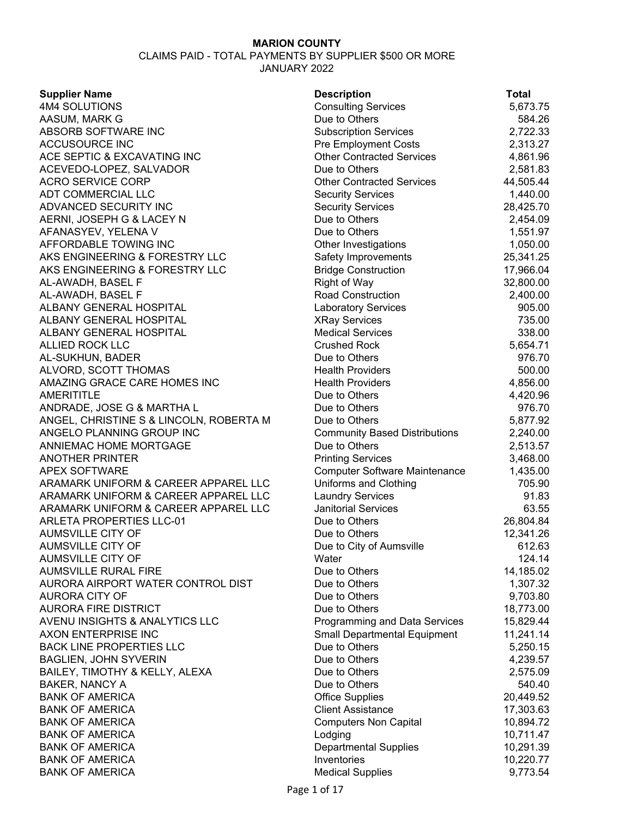| <b>Supplier Name</b>                    | <b>Description</b>                                   | <b>Total</b> |
|-----------------------------------------|------------------------------------------------------|--------------|
| 4M4 SOLUTIONS                           | <b>Consulting Services</b>                           | 5,673.75     |
| AASUM, MARK G                           | Due to Others                                        | 584.26       |
| ABSORB SOFTWARE INC                     | <b>Subscription Services</b>                         | 2,722.33     |
| <b>ACCUSOURCE INC</b>                   | <b>Pre Employment Costs</b>                          | 2,313.27     |
| ACE SEPTIC & EXCAVATING INC             | <b>Other Contracted Services</b>                     | 4,861.96     |
| ACEVEDO-LOPEZ, SALVADOR                 | Due to Others                                        | 2,581.83     |
| <b>ACRO SERVICE CORP</b>                | <b>Other Contracted Services</b>                     | 44,505.44    |
| ADT COMMERCIAL LLC                      | <b>Security Services</b>                             | 1,440.00     |
| ADVANCED SECURITY INC                   | <b>Security Services</b>                             | 28,425.70    |
| AERNI, JOSEPH G & LACEY N               | Due to Others                                        | 2,454.09     |
| AFANASYEV, YELENA V                     | Due to Others                                        | 1,551.97     |
| AFFORDABLE TOWING INC                   | Other Investigations                                 | 1,050.00     |
| AKS ENGINEERING & FORESTRY LLC          | Safety Improvements                                  | 25,341.25    |
| AKS ENGINEERING & FORESTRY LLC          | <b>Bridge Construction</b>                           | 17,966.04    |
| AL-AWADH, BASEL F                       | <b>Right of Way</b>                                  | 32,800.00    |
| AL-AWADH, BASEL F                       | <b>Road Construction</b>                             | 2,400.00     |
| ALBANY GENERAL HOSPITAL                 | <b>Laboratory Services</b>                           | 905.00       |
| ALBANY GENERAL HOSPITAL                 | <b>XRay Services</b>                                 | 735.00       |
| ALBANY GENERAL HOSPITAL                 | <b>Medical Services</b>                              | 338.00       |
| <b>ALLIED ROCK LLC</b>                  | <b>Crushed Rock</b>                                  | 5,654.71     |
| AL-SUKHUN, BADER                        | Due to Others                                        | 976.70       |
| ALVORD, SCOTT THOMAS                    | <b>Health Providers</b>                              | 500.00       |
| AMAZING GRACE CARE HOMES INC            | <b>Health Providers</b>                              | 4,856.00     |
| <b>AMERITITLE</b>                       | Due to Others                                        | 4,420.96     |
| ANDRADE, JOSE G & MARTHA L              | Due to Others                                        | 976.70       |
| ANGEL, CHRISTINE S & LINCOLN, ROBERTA M | Due to Others                                        | 5,877.92     |
| ANGELO PLANNING GROUP INC               | <b>Community Based Distributions</b>                 | 2,240.00     |
| ANNIEMAC HOME MORTGAGE                  | Due to Others                                        | 2,513.57     |
| <b>ANOTHER PRINTER</b>                  | <b>Printing Services</b>                             | 3,468.00     |
| <b>APEX SOFTWARE</b>                    | <b>Computer Software Maintenance</b>                 | 1,435.00     |
| ARAMARK UNIFORM & CAREER APPAREL LLC    | Uniforms and Clothing                                | 705.90       |
| ARAMARK UNIFORM & CAREER APPAREL LLC    | <b>Laundry Services</b>                              | 91.83        |
| ARAMARK UNIFORM & CAREER APPAREL LLC    | <b>Janitorial Services</b>                           | 63.55        |
| <b>ARLETA PROPERTIES LLC-01</b>         | Due to Others                                        | 26,804.84    |
| <b>AUMSVILLE CITY OF</b>                | Due to Others                                        | 12,341.26    |
| <b>AUMSVILLE CITY OF</b>                | Due to City of Aumsville                             | 612.63       |
| <b>AUMSVILLE CITY OF</b>                | Water                                                | 124.14       |
| <b>AUMSVILLE RURAL FIRE</b>             | Due to Others                                        | 14,185.02    |
| AURORA AIRPORT WATER CONTROL DIST       | Due to Others                                        | 1,307.32     |
| <b>AURORA CITY OF</b>                   | Due to Others                                        | 9,703.80     |
| <b>AURORA FIRE DISTRICT</b>             | Due to Others                                        |              |
|                                         |                                                      | 18,773.00    |
| AVENU INSIGHTS & ANALYTICS LLC          | Programming and Data Services                        | 15,829.44    |
| AXON ENTERPRISE INC                     | <b>Small Departmental Equipment</b><br>Due to Others | 11,241.14    |
| <b>BACK LINE PROPERTIES LLC</b>         |                                                      | 5,250.15     |
| <b>BAGLIEN, JOHN SYVERIN</b>            | Due to Others                                        | 4,239.57     |
| BAILEY, TIMOTHY & KELLY, ALEXA          | Due to Others                                        | 2,575.09     |
| <b>BAKER, NANCY A</b>                   | Due to Others                                        | 540.40       |
| <b>BANK OF AMERICA</b>                  | <b>Office Supplies</b>                               | 20,449.52    |
| <b>BANK OF AMERICA</b>                  | <b>Client Assistance</b>                             | 17,303.63    |
| <b>BANK OF AMERICA</b>                  | <b>Computers Non Capital</b>                         | 10,894.72    |
| <b>BANK OF AMERICA</b>                  | Lodging                                              | 10,711.47    |
| <b>BANK OF AMERICA</b>                  | <b>Departmental Supplies</b>                         | 10,291.39    |
| <b>BANK OF AMERICA</b>                  | Inventories                                          | 10,220.77    |
| <b>BANK OF AMERICA</b>                  | <b>Medical Supplies</b>                              | 9,773.54     |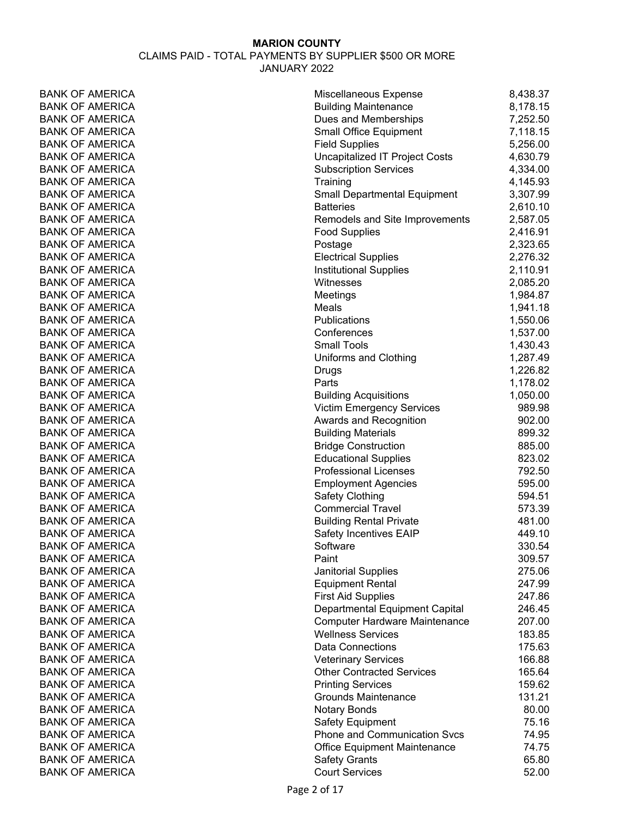# **MARION COUNTY** CLAIMS PAID - TOTAL PAYMENTS BY SUPPLIER \$500 OR MORE

JANUARY 2022

| <b>BANK OF AMERICA</b> | Miscellaneous Expense               | 8,438.37 |
|------------------------|-------------------------------------|----------|
| <b>BANK OF AMERICA</b> | <b>Building Maintenance</b>         | 8,178.15 |
| <b>BANK OF AMERICA</b> | Dues and Memberships                | 7,252.50 |
| <b>BANK OF AMERICA</b> | <b>Small Office Equipment</b>       | 7,118.15 |
| <b>BANK OF AMERICA</b> | <b>Field Supplies</b>               | 5,256.00 |
| <b>BANK OF AMERICA</b> | Uncapitalized IT Project Costs      | 4,630.79 |
| <b>BANK OF AMERICA</b> | <b>Subscription Services</b>        | 4,334.00 |
| <b>BANK OF AMERICA</b> | Training                            | 4,145.93 |
| <b>BANK OF AMERICA</b> | <b>Small Departmental Equipment</b> | 3,307.99 |
| <b>BANK OF AMERICA</b> | <b>Batteries</b>                    | 2,610.10 |
| <b>BANK OF AMERICA</b> | Remodels and Site Improvements      | 2,587.05 |
| <b>BANK OF AMERICA</b> | <b>Food Supplies</b>                | 2,416.91 |
| <b>BANK OF AMERICA</b> | Postage                             | 2,323.65 |
| <b>BANK OF AMERICA</b> | <b>Electrical Supplies</b>          | 2,276.32 |
| <b>BANK OF AMERICA</b> | <b>Institutional Supplies</b>       | 2,110.91 |
| <b>BANK OF AMERICA</b> | Witnesses                           | 2,085.20 |
| <b>BANK OF AMERICA</b> | Meetings                            | 1,984.87 |
| <b>BANK OF AMERICA</b> | Meals                               | 1,941.18 |
| <b>BANK OF AMERICA</b> | <b>Publications</b>                 | 1,550.06 |
| <b>BANK OF AMERICA</b> | Conferences                         | 1,537.00 |
| <b>BANK OF AMERICA</b> | <b>Small Tools</b>                  | 1,430.43 |
| <b>BANK OF AMERICA</b> | Uniforms and Clothing               | 1,287.49 |
| <b>BANK OF AMERICA</b> | Drugs                               | 1,226.82 |
| <b>BANK OF AMERICA</b> | Parts                               | 1,178.02 |
| <b>BANK OF AMERICA</b> | <b>Building Acquisitions</b>        | 1,050.00 |
| <b>BANK OF AMERICA</b> | <b>Victim Emergency Services</b>    | 989.98   |
| <b>BANK OF AMERICA</b> | Awards and Recognition              | 902.00   |
| <b>BANK OF AMERICA</b> | <b>Building Materials</b>           | 899.32   |
| <b>BANK OF AMERICA</b> | <b>Bridge Construction</b>          | 885.00   |
| <b>BANK OF AMERICA</b> | <b>Educational Supplies</b>         | 823.02   |
| <b>BANK OF AMERICA</b> | <b>Professional Licenses</b>        | 792.50   |
| <b>BANK OF AMERICA</b> | <b>Employment Agencies</b>          | 595.00   |
| <b>BANK OF AMERICA</b> | Safety Clothing                     | 594.51   |
| <b>BANK OF AMERICA</b> | <b>Commercial Travel</b>            | 573.39   |
| <b>BANK OF AMERICA</b> | <b>Building Rental Private</b>      | 481.00   |
| <b>BANK OF AMERICA</b> | Safety Incentives EAIP              | 449.10   |
| BANK OF AMERICA        | Software                            | 330.54   |
| <b>BANK OF AMERICA</b> | Paint                               | 309.57   |
| <b>BANK OF AMERICA</b> | <b>Janitorial Supplies</b>          | 275.06   |
| <b>BANK OF AMERICA</b> | <b>Equipment Rental</b>             | 247.99   |
| <b>BANK OF AMERICA</b> | <b>First Aid Supplies</b>           | 247.86   |
| <b>BANK OF AMERICA</b> | Departmental Equipment Capital      | 246.45   |
| <b>BANK OF AMERICA</b> | Computer Hardware Maintenance       | 207.00   |
| <b>BANK OF AMERICA</b> | <b>Wellness Services</b>            | 183.85   |
| <b>BANK OF AMERICA</b> | <b>Data Connections</b>             | 175.63   |
| <b>BANK OF AMERICA</b> | <b>Veterinary Services</b>          | 166.88   |
| <b>BANK OF AMERICA</b> | <b>Other Contracted Services</b>    | 165.64   |
| <b>BANK OF AMERICA</b> | <b>Printing Services</b>            | 159.62   |
| <b>BANK OF AMERICA</b> | <b>Grounds Maintenance</b>          | 131.21   |
| <b>BANK OF AMERICA</b> | <b>Notary Bonds</b>                 | 80.00    |
| <b>BANK OF AMERICA</b> | Safety Equipment                    | 75.16    |
| <b>BANK OF AMERICA</b> | <b>Phone and Communication Svcs</b> | 74.95    |
| <b>BANK OF AMERICA</b> | <b>Office Equipment Maintenance</b> | 74.75    |
| <b>BANK OF AMERICA</b> | <b>Safety Grants</b>                | 65.80    |
| <b>BANK OF AMERICA</b> | <b>Court Services</b>               | 52.00    |
|                        |                                     |          |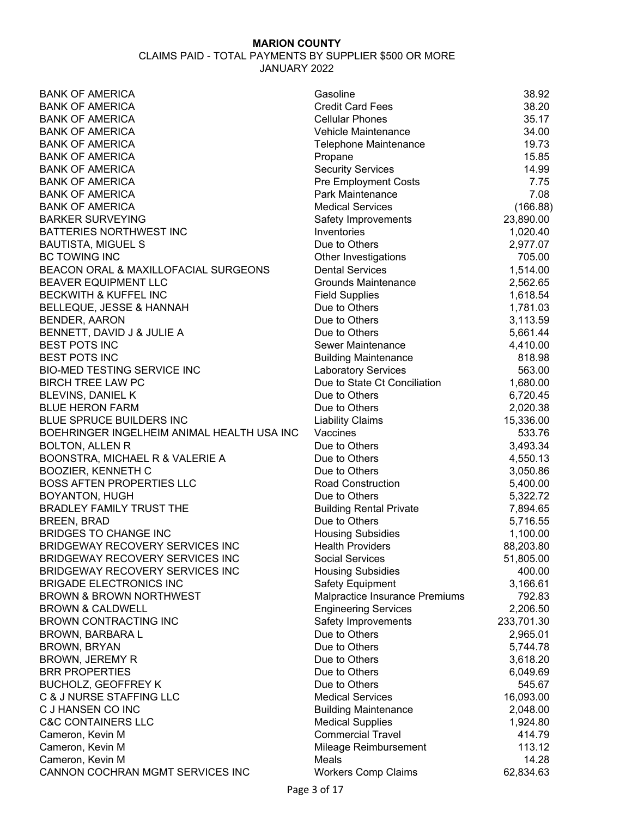| <b>BANK OF AMERICA</b>                     | Gasoline                                        | 38.92      |
|--------------------------------------------|-------------------------------------------------|------------|
| <b>BANK OF AMERICA</b>                     | <b>Credit Card Fees</b>                         | 38.20      |
| <b>BANK OF AMERICA</b>                     | <b>Cellular Phones</b>                          | 35.17      |
| <b>BANK OF AMERICA</b>                     | Vehicle Maintenance                             | 34.00      |
| <b>BANK OF AMERICA</b>                     | Telephone Maintenance                           | 19.73      |
| <b>BANK OF AMERICA</b>                     | Propane                                         | 15.85      |
| <b>BANK OF AMERICA</b>                     | <b>Security Services</b>                        | 14.99      |
| <b>BANK OF AMERICA</b>                     | <b>Pre Employment Costs</b>                     | 7.75       |
| <b>BANK OF AMERICA</b>                     | Park Maintenance                                | 7.08       |
| <b>BANK OF AMERICA</b>                     | <b>Medical Services</b>                         | (166.88)   |
| <b>BARKER SURVEYING</b>                    | Safety Improvements                             | 23,890.00  |
| <b>BATTERIES NORTHWEST INC</b>             | Inventories                                     | 1,020.40   |
| <b>BAUTISTA, MIGUEL S</b>                  | Due to Others                                   | 2,977.07   |
| <b>BC TOWING INC</b>                       | Other Investigations                            | 705.00     |
| BEACON ORAL & MAXILLOFACIAL SURGEONS       | <b>Dental Services</b>                          | 1,514.00   |
| BEAVER EQUIPMENT LLC                       | <b>Grounds Maintenance</b>                      | 2,562.65   |
| <b>BECKWITH &amp; KUFFEL INC</b>           | <b>Field Supplies</b>                           | 1,618.54   |
| BELLEQUE, JESSE & HANNAH                   | Due to Others                                   | 1,781.03   |
| <b>BENDER, AARON</b>                       | Due to Others                                   | 3,113.59   |
| BENNETT, DAVID J & JULIE A                 | Due to Others                                   | 5,661.44   |
| <b>BEST POTS INC</b>                       | Sewer Maintenance                               | 4,410.00   |
| <b>BEST POTS INC</b>                       | <b>Building Maintenance</b>                     | 818.98     |
| <b>BIO-MED TESTING SERVICE INC</b>         | <b>Laboratory Services</b>                      | 563.00     |
| <b>BIRCH TREE LAW PC</b>                   | Due to State Ct Conciliation                    | 1,680.00   |
| <b>BLEVINS, DANIEL K</b>                   | Due to Others                                   | 6,720.45   |
| <b>BLUE HERON FARM</b>                     | Due to Others                                   | 2,020.38   |
| BLUE SPRUCE BUILDERS INC                   | <b>Liability Claims</b>                         | 15,336.00  |
| BOEHRINGER INGELHEIM ANIMAL HEALTH USA INC | Vaccines                                        | 533.76     |
| <b>BOLTON, ALLEN R</b>                     | Due to Others                                   | 3,493.34   |
| BOONSTRA, MICHAEL R & VALERIE A            | Due to Others                                   | 4,550.13   |
| <b>BOOZIER, KENNETH C</b>                  | Due to Others                                   | 3,050.86   |
| <b>BOSS AFTEN PROPERTIES LLC</b>           | <b>Road Construction</b>                        | 5,400.00   |
| BOYANTON, HUGH                             | Due to Others                                   | 5,322.72   |
|                                            |                                                 |            |
| BRADLEY FAMILY TRUST THE                   | <b>Building Rental Private</b><br>Due to Others | 7,894.65   |
| <b>BREEN, BRAD</b>                         |                                                 | 5,716.55   |
| <b>BRIDGES TO CHANGE INC</b>               | <b>Housing Subsidies</b>                        | 1,100.00   |
| BRIDGEWAY RECOVERY SERVICES INC            | <b>Health Providers</b>                         | 88,203.80  |
| <b>BRIDGEWAY RECOVERY SERVICES INC</b>     | <b>Social Services</b>                          | 51,805.00  |
| <b>BRIDGEWAY RECOVERY SERVICES INC</b>     | <b>Housing Subsidies</b>                        | 400.00     |
| <b>BRIGADE ELECTRONICS INC</b>             | <b>Safety Equipment</b>                         | 3,166.61   |
| <b>BROWN &amp; BROWN NORTHWEST</b>         | Malpractice Insurance Premiums                  | 792.83     |
| <b>BROWN &amp; CALDWELL</b>                | <b>Engineering Services</b>                     | 2,206.50   |
| <b>BROWN CONTRACTING INC</b>               | Safety Improvements                             | 233,701.30 |
| <b>BROWN, BARBARA L</b>                    | Due to Others                                   | 2,965.01   |
| <b>BROWN, BRYAN</b>                        | Due to Others                                   | 5,744.78   |
| <b>BROWN, JEREMY R</b>                     | Due to Others                                   | 3,618.20   |
| <b>BRR PROPERTIES</b>                      | Due to Others                                   | 6,049.69   |
| <b>BUCHOLZ, GEOFFREY K</b>                 | Due to Others                                   | 545.67     |
| C & J NURSE STAFFING LLC                   | <b>Medical Services</b>                         | 16,093.00  |
| C J HANSEN CO INC                          | <b>Building Maintenance</b>                     | 2,048.00   |
| <b>C&amp;C CONTAINERS LLC</b>              | <b>Medical Supplies</b>                         | 1,924.80   |
| Cameron, Kevin M                           | <b>Commercial Travel</b>                        | 414.79     |
| Cameron, Kevin M                           | Mileage Reimbursement                           | 113.12     |
| Cameron, Kevin M                           | Meals                                           | 14.28      |
| CANNON COCHRAN MGMT SERVICES INC           | <b>Workers Comp Claims</b>                      | 62,834.63  |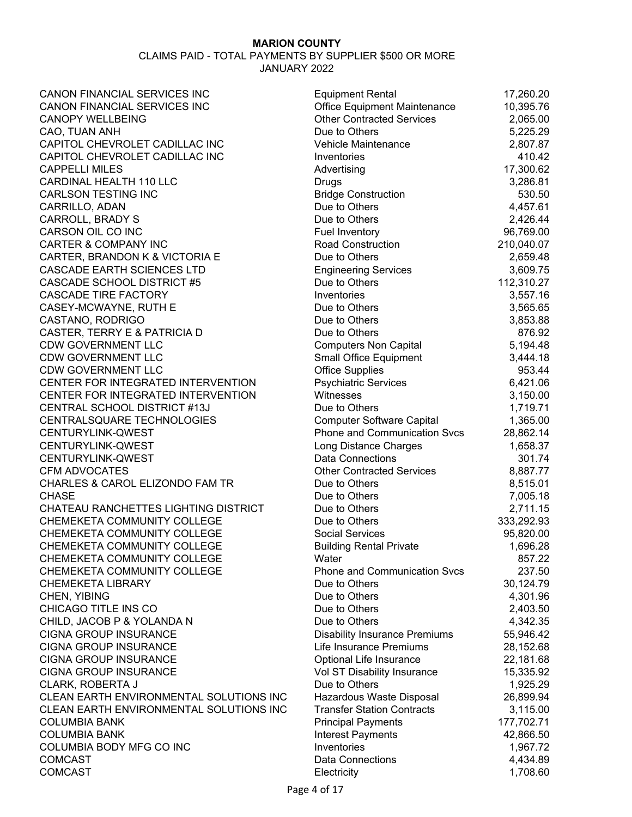| CANON FINANCIAL SERVICES INC            | <b>Equipment Rental</b>                      | 17,260.20  |
|-----------------------------------------|----------------------------------------------|------------|
| CANON FINANCIAL SERVICES INC            | Office Equipment Maintenance                 | 10,395.76  |
| <b>CANOPY WELLBEING</b>                 | <b>Other Contracted Services</b>             | 2,065.00   |
| CAO, TUAN ANH                           | Due to Others                                | 5,225.29   |
| CAPITOL CHEVROLET CADILLAC INC          | Vehicle Maintenance                          | 2,807.87   |
| CAPITOL CHEVROLET CADILLAC INC          | Inventories                                  | 410.42     |
| <b>CAPPELLI MILES</b>                   | Advertising                                  | 17,300.62  |
| CARDINAL HEALTH 110 LLC                 | Drugs                                        | 3,286.81   |
| <b>CARLSON TESTING INC</b>              | <b>Bridge Construction</b>                   | 530.50     |
| CARRILLO, ADAN                          | Due to Others                                | 4,457.61   |
| <b>CARROLL, BRADY S</b>                 | Due to Others                                | 2,426.44   |
| CARSON OIL CO INC                       | Fuel Inventory                               | 96,769.00  |
| <b>CARTER &amp; COMPANY INC</b>         | <b>Road Construction</b>                     | 210,040.07 |
| CARTER, BRANDON K & VICTORIA E          | Due to Others                                | 2,659.48   |
| <b>CASCADE EARTH SCIENCES LTD</b>       | <b>Engineering Services</b>                  | 3,609.75   |
| <b>CASCADE SCHOOL DISTRICT #5</b>       | Due to Others                                | 112,310.27 |
| <b>CASCADE TIRE FACTORY</b>             | Inventories                                  | 3,557.16   |
| CASEY-MCWAYNE, RUTH E                   | Due to Others                                | 3,565.65   |
| CASTANO, RODRIGO                        | Due to Others                                | 3,853.88   |
| CASTER, TERRY E & PATRICIA D            | Due to Others                                | 876.92     |
| <b>CDW GOVERNMENT LLC</b>               | <b>Computers Non Capital</b>                 | 5,194.48   |
| <b>CDW GOVERNMENT LLC</b>               | <b>Small Office Equipment</b>                | 3,444.18   |
| <b>CDW GOVERNMENT LLC</b>               | <b>Office Supplies</b>                       | 953.44     |
| CENTER FOR INTEGRATED INTERVENTION      | <b>Psychiatric Services</b>                  | 6,421.06   |
| CENTER FOR INTEGRATED INTERVENTION      | Witnesses                                    | 3,150.00   |
| CENTRAL SCHOOL DISTRICT #13J            | Due to Others                                | 1,719.71   |
| CENTRALSQUARE TECHNOLOGIES              | <b>Computer Software Capital</b>             | 1,365.00   |
| CENTURYLINK-QWEST                       | <b>Phone and Communication Svcs</b>          | 28,862.14  |
| CENTURYLINK-QWEST                       | Long Distance Charges                        | 1,658.37   |
| CENTURYLINK-QWEST                       | <b>Data Connections</b>                      | 301.74     |
| <b>CFM ADVOCATES</b>                    | <b>Other Contracted Services</b>             | 8,887.77   |
| CHARLES & CAROL ELIZONDO FAM TR         | Due to Others                                | 8,515.01   |
| <b>CHASE</b>                            | Due to Others                                | 7,005.18   |
| CHATEAU RANCHETTES LIGHTING DISTRICT    | Due to Others                                | 2,711.15   |
| CHEMEKETA COMMUNITY COLLEGE             | Due to Others                                | 333,292.93 |
| CHEMEKETA COMMUNITY COLLEGE             | <b>Social Services</b>                       | 95,820.00  |
| CHEMEKETA COMMUNITY COLLEGE             | <b>Building Rental Private</b>               | 1,696.28   |
| CHEMEKETA COMMUNITY COLLEGE             | Water                                        | 857.22     |
| CHEMEKETA COMMUNITY COLLEGE             | <b>Phone and Communication Svcs</b>          | 237.50     |
| <b>CHEMEKETA LIBRARY</b>                | Due to Others                                | 30,124.79  |
| CHEN, YIBING                            | Due to Others                                | 4,301.96   |
| CHICAGO TITLE INS CO                    | Due to Others                                | 2,403.50   |
| CHILD, JACOB P & YOLANDA N              | Due to Others                                | 4,342.35   |
| <b>CIGNA GROUP INSURANCE</b>            | <b>Disability Insurance Premiums</b>         | 55,946.42  |
| <b>CIGNA GROUP INSURANCE</b>            | Life Insurance Premiums                      | 28,152.68  |
| <b>CIGNA GROUP INSURANCE</b>            | Optional Life Insurance                      |            |
| <b>CIGNA GROUP INSURANCE</b>            |                                              | 22,181.68  |
| <b>CLARK, ROBERTA J</b>                 | Vol ST Disability Insurance<br>Due to Others | 15,335.92  |
|                                         |                                              | 1,925.29   |
| CLEAN EARTH ENVIRONMENTAL SOLUTIONS INC | Hazardous Waste Disposal                     | 26,899.94  |
| CLEAN EARTH ENVIRONMENTAL SOLUTIONS INC | <b>Transfer Station Contracts</b>            | 3,115.00   |
| <b>COLUMBIA BANK</b>                    | <b>Principal Payments</b>                    | 177,702.71 |
| <b>COLUMBIA BANK</b>                    | <b>Interest Payments</b>                     | 42,866.50  |
| COLUMBIA BODY MFG CO INC                | Inventories                                  | 1,967.72   |
| <b>COMCAST</b>                          | <b>Data Connections</b>                      | 4,434.89   |
| <b>COMCAST</b>                          | Electricity                                  | 1,708.60   |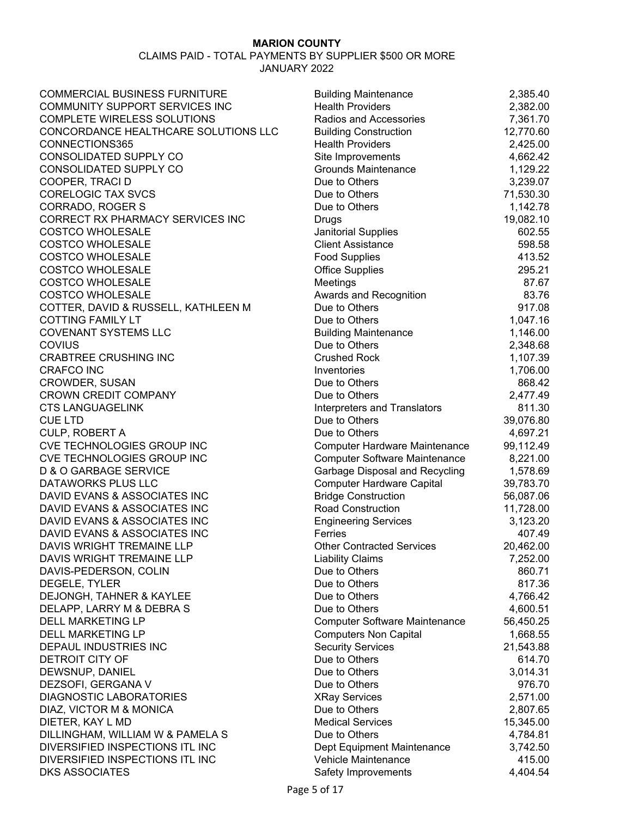| <b>COMMERCIAL BUSINESS FURNITURE</b>  | <b>Building Maintenance</b>          | 2,385.40  |
|---------------------------------------|--------------------------------------|-----------|
| <b>COMMUNITY SUPPORT SERVICES INC</b> | <b>Health Providers</b>              | 2,382.00  |
| <b>COMPLETE WIRELESS SOLUTIONS</b>    | Radios and Accessories               | 7,361.70  |
| CONCORDANCE HEALTHCARE SOLUTIONS LLC  | <b>Building Construction</b>         | 12,770.60 |
| CONNECTIONS365                        | <b>Health Providers</b>              | 2,425.00  |
| CONSOLIDATED SUPPLY CO                | Site Improvements                    | 4,662.42  |
| CONSOLIDATED SUPPLY CO                | <b>Grounds Maintenance</b>           | 1,129.22  |
| COOPER, TRACI D                       | Due to Others                        | 3,239.07  |
| <b>CORELOGIC TAX SVCS</b>             | Due to Others                        | 71,530.30 |
| CORRADO, ROGER S                      | Due to Others                        | 1,142.78  |
| CORRECT RX PHARMACY SERVICES INC      | Drugs                                | 19,082.10 |
| <b>COSTCO WHOLESALE</b>               | Janitorial Supplies                  | 602.55    |
| <b>COSTCO WHOLESALE</b>               | <b>Client Assistance</b>             | 598.58    |
| <b>COSTCO WHOLESALE</b>               | <b>Food Supplies</b>                 | 413.52    |
| <b>COSTCO WHOLESALE</b>               | <b>Office Supplies</b>               | 295.21    |
| <b>COSTCO WHOLESALE</b>               | Meetings                             | 87.67     |
| <b>COSTCO WHOLESALE</b>               | Awards and Recognition               | 83.76     |
| COTTER, DAVID & RUSSELL, KATHLEEN M   | Due to Others                        | 917.08    |
| <b>COTTING FAMILY LT</b>              | Due to Others                        | 1,047.16  |
| <b>COVENANT SYSTEMS LLC</b>           | <b>Building Maintenance</b>          | 1,146.00  |
| <b>COVIUS</b>                         | Due to Others                        | 2,348.68  |
| <b>CRABTREE CRUSHING INC</b>          | <b>Crushed Rock</b>                  | 1,107.39  |
| <b>CRAFCO INC</b>                     | Inventories                          | 1,706.00  |
| CROWDER, SUSAN                        | Due to Others                        | 868.42    |
| <b>CROWN CREDIT COMPANY</b>           | Due to Others                        | 2,477.49  |
| <b>CTS LANGUAGELINK</b>               | Interpreters and Translators         | 811.30    |
| <b>CUE LTD</b>                        | Due to Others                        | 39,076.80 |
| <b>CULP, ROBERT A</b>                 | Due to Others                        | 4,697.21  |
| CVE TECHNOLOGIES GROUP INC            | <b>Computer Hardware Maintenance</b> | 99,112.49 |
| CVE TECHNOLOGIES GROUP INC            | <b>Computer Software Maintenance</b> | 8,221.00  |
| D & O GARBAGE SERVICE                 | Garbage Disposal and Recycling       | 1,578.69  |
| DATAWORKS PLUS LLC                    | <b>Computer Hardware Capital</b>     | 39,783.70 |
| DAVID EVANS & ASSOCIATES INC          | <b>Bridge Construction</b>           | 56,087.06 |
| DAVID EVANS & ASSOCIATES INC          | <b>Road Construction</b>             | 11,728.00 |
| DAVID EVANS & ASSOCIATES INC          | <b>Engineering Services</b>          | 3,123.20  |
| DAVID EVANS & ASSOCIATES INC          | Ferries                              | 407.49    |
| DAVIS WRIGHT TREMAINE LLP             | <b>Other Contracted Services</b>     | 20,462.00 |
| DAVIS WRIGHT TREMAINE LLP             | <b>Liability Claims</b>              | 7,252.00  |
| DAVIS-PEDERSON, COLIN                 | Due to Others                        | 860.71    |
| DEGELE, TYLER                         | Due to Others                        | 817.36    |
| DEJONGH, TAHNER & KAYLEE              | Due to Others                        | 4,766.42  |
| DELAPP, LARRY M & DEBRA S             | Due to Others                        | 4,600.51  |
| <b>DELL MARKETING LP</b>              | <b>Computer Software Maintenance</b> | 56,450.25 |
| <b>DELL MARKETING LP</b>              | <b>Computers Non Capital</b>         | 1,668.55  |
| DEPAUL INDUSTRIES INC                 | <b>Security Services</b>             | 21,543.88 |
| DETROIT CITY OF                       | Due to Others                        | 614.70    |
| DEWSNUP, DANIEL                       | Due to Others                        | 3,014.31  |
| DEZSOFI, GERGANA V                    | Due to Others                        | 976.70    |
| <b>DIAGNOSTIC LABORATORIES</b>        | <b>XRay Services</b>                 | 2,571.00  |
| DIAZ, VICTOR M & MONICA               | Due to Others                        | 2,807.65  |
| DIETER, KAY L MD                      | <b>Medical Services</b>              | 15,345.00 |
| DILLINGHAM, WILLIAM W & PAMELA S      | Due to Others                        | 4,784.81  |
| DIVERSIFIED INSPECTIONS ITL INC       | Dept Equipment Maintenance           | 3,742.50  |
| DIVERSIFIED INSPECTIONS ITL INC       | Vehicle Maintenance                  | 415.00    |
| <b>DKS ASSOCIATES</b>                 | Safety Improvements                  | 4,404.54  |
|                                       |                                      |           |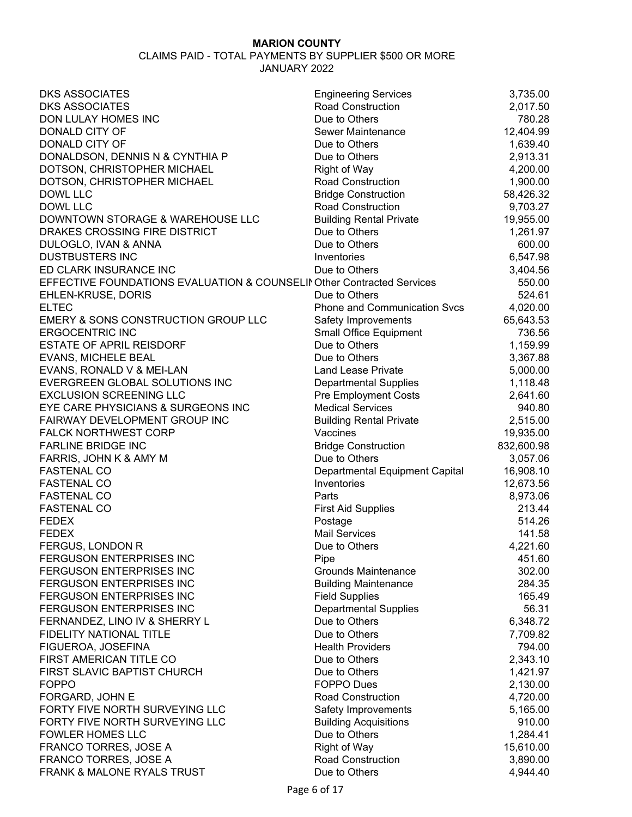| <b>DKS ASSOCIATES</b>                                                  | <b>Engineering Services</b>         | 3,735.00   |
|------------------------------------------------------------------------|-------------------------------------|------------|
| <b>DKS ASSOCIATES</b>                                                  | <b>Road Construction</b>            | 2,017.50   |
| DON LULAY HOMES INC                                                    | Due to Others                       | 780.28     |
| DONALD CITY OF                                                         | <b>Sewer Maintenance</b>            | 12,404.99  |
| DONALD CITY OF                                                         | Due to Others                       | 1,639.40   |
| DONALDSON, DENNIS N & CYNTHIA P                                        | Due to Others                       | 2,913.31   |
| DOTSON, CHRISTOPHER MICHAEL                                            | <b>Right of Way</b>                 | 4,200.00   |
| DOTSON, CHRISTOPHER MICHAEL                                            | <b>Road Construction</b>            | 1,900.00   |
| <b>DOWL LLC</b>                                                        | <b>Bridge Construction</b>          | 58,426.32  |
| DOWL LLC                                                               | Road Construction                   | 9,703.27   |
| DOWNTOWN STORAGE & WAREHOUSE LLC                                       | <b>Building Rental Private</b>      | 19,955.00  |
| DRAKES CROSSING FIRE DISTRICT                                          | Due to Others                       | 1,261.97   |
| DULOGLO, IVAN & ANNA                                                   | Due to Others                       | 600.00     |
| <b>DUSTBUSTERS INC</b>                                                 | Inventories                         | 6,547.98   |
| ED CLARK INSURANCE INC                                                 | Due to Others                       | 3,404.56   |
| EFFECTIVE FOUNDATIONS EVALUATION & COUNSELII Other Contracted Services |                                     | 550.00     |
| EHLEN-KRUSE, DORIS                                                     | Due to Others                       | 524.61     |
| <b>ELTEC</b>                                                           | <b>Phone and Communication Svcs</b> | 4,020.00   |
| EMERY & SONS CONSTRUCTION GROUP LLC                                    | Safety Improvements                 | 65,643.53  |
| <b>ERGOCENTRIC INC</b>                                                 | <b>Small Office Equipment</b>       | 736.56     |
| <b>ESTATE OF APRIL REISDORF</b>                                        | Due to Others                       | 1,159.99   |
| EVANS, MICHELE BEAL                                                    | Due to Others                       |            |
|                                                                        |                                     | 3,367.88   |
| EVANS, RONALD V & MEI-LAN                                              | <b>Land Lease Private</b>           | 5,000.00   |
| EVERGREEN GLOBAL SOLUTIONS INC                                         | <b>Departmental Supplies</b>        | 1,118.48   |
| <b>EXCLUSION SCREENING LLC</b>                                         | <b>Pre Employment Costs</b>         | 2,641.60   |
| EYE CARE PHYSICIANS & SURGEONS INC                                     | <b>Medical Services</b>             | 940.80     |
| FAIRWAY DEVELOPMENT GROUP INC                                          | <b>Building Rental Private</b>      | 2,515.00   |
| <b>FALCK NORTHWEST CORP</b>                                            | Vaccines                            | 19,935.00  |
| <b>FARLINE BRIDGE INC</b>                                              | <b>Bridge Construction</b>          | 832,600.98 |
| FARRIS, JOHN K & AMY M                                                 | Due to Others                       | 3,057.06   |
| <b>FASTENAL CO</b>                                                     | Departmental Equipment Capital      | 16,908.10  |
| <b>FASTENAL CO</b>                                                     | Inventories                         | 12,673.56  |
| <b>FASTENAL CO</b>                                                     | Parts                               | 8,973.06   |
| <b>FASTENAL CO</b>                                                     | <b>First Aid Supplies</b>           | 213.44     |
| <b>FEDEX</b>                                                           | Postage                             | 514.26     |
| <b>FEDEX</b>                                                           | <b>Mail Services</b>                | 141.58     |
| FERGUS, LONDON R                                                       | Due to Others                       | 4,221.60   |
| <b>FERGUSON ENTERPRISES INC</b>                                        | Pipe                                | 451.60     |
| FERGUSON ENTERPRISES INC                                               | <b>Grounds Maintenance</b>          | 302.00     |
| FERGUSON ENTERPRISES INC                                               | <b>Building Maintenance</b>         | 284.35     |
| FERGUSON ENTERPRISES INC                                               | <b>Field Supplies</b>               | 165.49     |
| <b>FERGUSON ENTERPRISES INC</b>                                        | <b>Departmental Supplies</b>        | 56.31      |
| FERNANDEZ, LINO IV & SHERRY L                                          | Due to Others                       | 6,348.72   |
| FIDELITY NATIONAL TITLE                                                | Due to Others                       | 7,709.82   |
| FIGUEROA, JOSEFINA                                                     | <b>Health Providers</b>             | 794.00     |
| FIRST AMERICAN TITLE CO                                                | Due to Others                       | 2,343.10   |
| FIRST SLAVIC BAPTIST CHURCH                                            | Due to Others                       | 1,421.97   |
| <b>FOPPO</b>                                                           | <b>FOPPO Dues</b>                   | 2,130.00   |
| FORGARD, JOHN E                                                        | <b>Road Construction</b>            | 4,720.00   |
| FORTY FIVE NORTH SURVEYING LLC                                         | Safety Improvements                 | 5,165.00   |
| FORTY FIVE NORTH SURVEYING LLC                                         | <b>Building Acquisitions</b>        | 910.00     |
| <b>FOWLER HOMES LLC</b>                                                | Due to Others                       | 1,284.41   |
| FRANCO TORRES, JOSE A                                                  | <b>Right of Way</b>                 | 15,610.00  |
| FRANCO TORRES, JOSE A                                                  | <b>Road Construction</b>            | 3,890.00   |
| FRANK & MALONE RYALS TRUST                                             | Due to Others                       | 4,944.40   |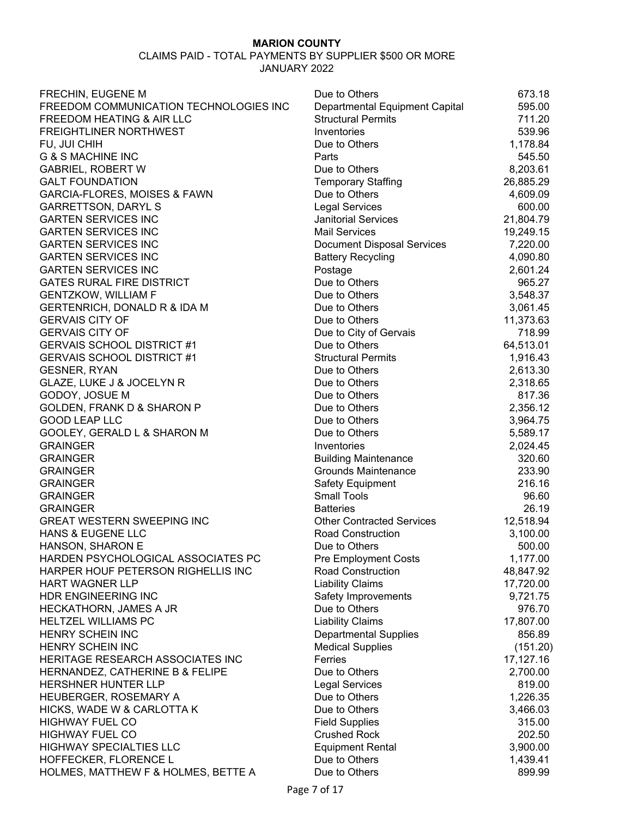| FRECHIN, EUGENE M                                            | Due to Others                            | 673.18             |
|--------------------------------------------------------------|------------------------------------------|--------------------|
| FREEDOM COMMUNICATION TECHNOLOGIES INC                       | Departmental Equipment Capital           | 595.00             |
| FREEDOM HEATING & AIR LLC                                    | <b>Structural Permits</b>                | 711.20             |
| <b>FREIGHTLINER NORTHWEST</b>                                | Inventories                              | 539.96             |
| FU, JUI CHIH                                                 | Due to Others                            | 1,178.84           |
| <b>G &amp; S MACHINE INC</b>                                 | Parts                                    | 545.50             |
| <b>GABRIEL, ROBERT W</b>                                     | Due to Others                            | 8,203.61           |
| <b>GALT FOUNDATION</b>                                       | <b>Temporary Staffing</b>                | 26,885.29          |
| GARCIA-FLORES, MOISES & FAWN                                 | Due to Others                            | 4,609.09           |
| <b>GARRETTSON, DARYL S</b>                                   | <b>Legal Services</b>                    | 600.00             |
| <b>GARTEN SERVICES INC</b>                                   | <b>Janitorial Services</b>               | 21,804.79          |
| <b>GARTEN SERVICES INC</b>                                   | <b>Mail Services</b>                     | 19,249.15          |
| <b>GARTEN SERVICES INC</b>                                   | <b>Document Disposal Services</b>        | 7,220.00           |
| <b>GARTEN SERVICES INC</b>                                   | <b>Battery Recycling</b>                 | 4,090.80           |
| <b>GARTEN SERVICES INC</b>                                   | Postage                                  | 2,601.24           |
| <b>GATES RURAL FIRE DISTRICT</b>                             | Due to Others                            | 965.27             |
| <b>GENTZKOW, WILLIAM F</b>                                   | Due to Others                            | 3,548.37           |
| GERTENRICH, DONALD R & IDA M                                 | Due to Others                            | 3,061.45           |
| <b>GERVAIS CITY OF</b>                                       | Due to Others                            | 11,373.63          |
| <b>GERVAIS CITY OF</b>                                       | Due to City of Gervais                   | 718.99             |
| <b>GERVAIS SCHOOL DISTRICT #1</b>                            | Due to Others                            | 64,513.01          |
| <b>GERVAIS SCHOOL DISTRICT #1</b>                            | <b>Structural Permits</b>                | 1,916.43           |
| <b>GESNER, RYAN</b>                                          | Due to Others                            | 2,613.30           |
| GLAZE, LUKE J & JOCELYN R                                    | Due to Others                            | 2,318.65           |
| GODOY, JOSUE M                                               | Due to Others                            | 817.36             |
| GOLDEN, FRANK D & SHARON P                                   | Due to Others                            | 2,356.12           |
| <b>GOOD LEAP LLC</b>                                         | Due to Others                            | 3,964.75           |
| GOOLEY, GERALD L & SHARON M                                  | Due to Others                            | 5,589.17           |
| <b>GRAINGER</b>                                              | Inventories                              | 2,024.45           |
| <b>GRAINGER</b>                                              | <b>Building Maintenance</b>              | 320.60             |
| <b>GRAINGER</b>                                              | <b>Grounds Maintenance</b>               | 233.90             |
| <b>GRAINGER</b>                                              | Safety Equipment                         | 216.16             |
| <b>GRAINGER</b>                                              | <b>Small Tools</b>                       | 96.60              |
| <b>GRAINGER</b>                                              | <b>Batteries</b>                         | 26.19              |
| <b>GREAT WESTERN SWEEPING INC</b>                            | <b>Other Contracted Services</b>         | 12,518.94          |
| <b>HANS &amp; EUGENE LLC</b>                                 | Road Construction                        | 3,100.00           |
| HANSON, SHARON E                                             | Due to Others                            | 500.00             |
| HARDEN PSYCHOLOGICAL ASSOCIATES PC                           | <b>Pre Employment Costs</b>              | 1,177.00           |
| HARPER HOUF PETERSON RIGHELLIS INC                           | <b>Road Construction</b>                 | 48,847.92          |
| <b>HART WAGNER LLP</b>                                       | <b>Liability Claims</b>                  | 17,720.00          |
| HDR ENGINEERING INC                                          | Safety Improvements                      | 9,721.75           |
| <b>HECKATHORN, JAMES A JR</b>                                | Due to Others                            | 976.70             |
| <b>HELTZEL WILLIAMS PC</b>                                   | <b>Liability Claims</b>                  | 17,807.00          |
| HENRY SCHEIN INC                                             | <b>Departmental Supplies</b>             | 856.89             |
| HENRY SCHEIN INC                                             | <b>Medical Supplies</b>                  | (151.20)           |
| HERITAGE RESEARCH ASSOCIATES INC                             | Ferries                                  | 17,127.16          |
| HERNANDEZ, CATHERINE B & FELIPE                              | Due to Others                            | 2,700.00           |
| HERSHNER HUNTER LLP                                          | <b>Legal Services</b>                    | 819.00             |
| HEUBERGER, ROSEMARY A                                        | Due to Others                            | 1,226.35           |
| HICKS, WADE W & CARLOTTA K                                   | Due to Others                            |                    |
| <b>HIGHWAY FUEL CO</b>                                       | <b>Field Supplies</b>                    | 3,466.03<br>315.00 |
| <b>HIGHWAY FUEL CO</b>                                       | <b>Crushed Rock</b>                      | 202.50             |
| <b>HIGHWAY SPECIALTIES LLC</b>                               |                                          |                    |
|                                                              | <b>Equipment Rental</b><br>Due to Others | 3,900.00           |
| HOFFECKER, FLORENCE L<br>HOLMES, MATTHEW F & HOLMES, BETTE A | Due to Others                            | 1,439.41<br>899.99 |
|                                                              |                                          |                    |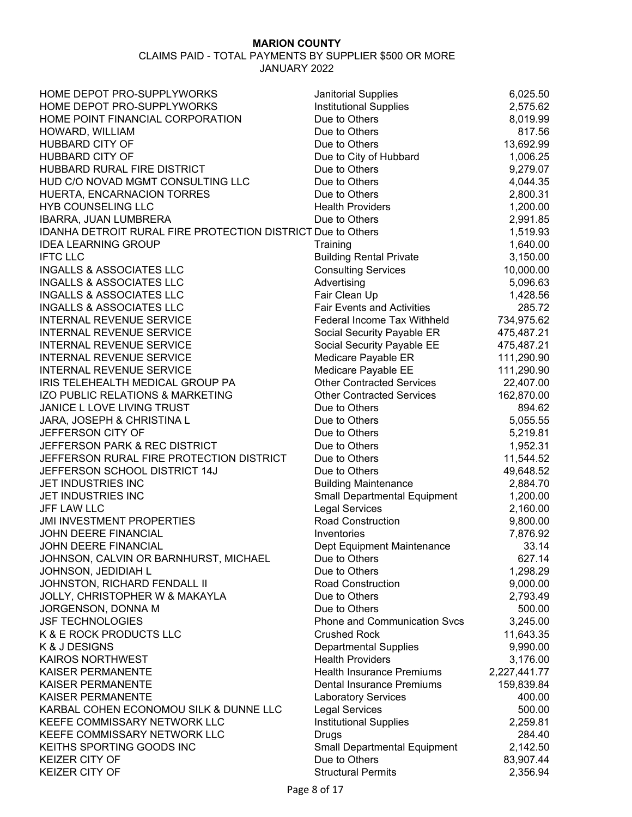| HOME DEPOT PRO-SUPPLYWORKS                                  | <b>Janitorial Supplies</b>          | 6,025.50     |
|-------------------------------------------------------------|-------------------------------------|--------------|
| HOME DEPOT PRO-SUPPLYWORKS                                  | Institutional Supplies              | 2,575.62     |
| HOME POINT FINANCIAL CORPORATION                            | Due to Others                       | 8,019.99     |
| HOWARD, WILLIAM                                             | Due to Others                       | 817.56       |
| <b>HUBBARD CITY OF</b>                                      | Due to Others                       | 13,692.99    |
| <b>HUBBARD CITY OF</b>                                      | Due to City of Hubbard              | 1,006.25     |
| HUBBARD RURAL FIRE DISTRICT                                 | Due to Others                       | 9,279.07     |
| HUD C/O NOVAD MGMT CONSULTING LLC                           | Due to Others                       | 4,044.35     |
| HUERTA, ENCARNACION TORRES                                  | Due to Others                       | 2,800.31     |
| <b>HYB COUNSELING LLC</b>                                   | <b>Health Providers</b>             | 1,200.00     |
| IBARRA, JUAN LUMBRERA                                       | Due to Others                       | 2,991.85     |
| IDANHA DETROIT RURAL FIRE PROTECTION DISTRICT Due to Others |                                     | 1,519.93     |
| <b>IDEA LEARNING GROUP</b>                                  | Training                            | 1,640.00     |
| <b>IFTC LLC</b>                                             | <b>Building Rental Private</b>      | 3,150.00     |
| <b>INGALLS &amp; ASSOCIATES LLC</b>                         | <b>Consulting Services</b>          | 10,000.00    |
| <b>INGALLS &amp; ASSOCIATES LLC</b>                         | Advertising                         | 5,096.63     |
| <b>INGALLS &amp; ASSOCIATES LLC</b>                         | Fair Clean Up                       | 1,428.56     |
| <b>INGALLS &amp; ASSOCIATES LLC</b>                         | <b>Fair Events and Activities</b>   | 285.72       |
| <b>INTERNAL REVENUE SERVICE</b>                             | Federal Income Tax Withheld         | 734,975.62   |
| <b>INTERNAL REVENUE SERVICE</b>                             | Social Security Payable ER          | 475,487.21   |
| <b>INTERNAL REVENUE SERVICE</b>                             | Social Security Payable EE          | 475,487.21   |
| <b>INTERNAL REVENUE SERVICE</b>                             | Medicare Payable ER                 | 111,290.90   |
| <b>INTERNAL REVENUE SERVICE</b>                             | Medicare Payable EE                 | 111,290.90   |
| IRIS TELEHEALTH MEDICAL GROUP PA                            | <b>Other Contracted Services</b>    | 22,407.00    |
| IZO PUBLIC RELATIONS & MARKETING                            | <b>Other Contracted Services</b>    | 162,870.00   |
| JANICE L LOVE LIVING TRUST                                  | Due to Others                       | 894.62       |
| JARA, JOSEPH & CHRISTINA L                                  | Due to Others                       | 5,055.55     |
| JEFFERSON CITY OF                                           | Due to Others                       | 5,219.81     |
| JEFFERSON PARK & REC DISTRICT                               | Due to Others                       | 1,952.31     |
| JEFFERSON RURAL FIRE PROTECTION DISTRICT                    | Due to Others                       | 11,544.52    |
| JEFFERSON SCHOOL DISTRICT 14J                               | Due to Others                       | 49,648.52    |
| JET INDUSTRIES INC                                          | <b>Building Maintenance</b>         | 2,884.70     |
| JET INDUSTRIES INC                                          | <b>Small Departmental Equipment</b> | 1,200.00     |
| <b>JFF LAW LLC</b>                                          | <b>Legal Services</b>               | 2,160.00     |
| <b>JMI INVESTMENT PROPERTIES</b>                            | <b>Road Construction</b>            | 9,800.00     |
| JOHN DEERE FINANCIAL                                        | Inventories                         | 7,876.92     |
| JOHN DEERE FINANCIAL                                        | Dept Equipment Maintenance          | 33.14        |
| JOHNSON, CALVIN OR BARNHURST, MICHAEL                       | Due to Others                       | 627.14       |
| JOHNSON, JEDIDIAH L                                         | Due to Others                       | 1,298.29     |
| JOHNSTON, RICHARD FENDALL II                                | <b>Road Construction</b>            | 9,000.00     |
| JOLLY, CHRISTOPHER W & MAKAYLA                              | Due to Others                       | 2,793.49     |
| JORGENSON, DONNA M                                          | Due to Others                       | 500.00       |
| <b>JSF TECHNOLOGIES</b>                                     | Phone and Communication Svcs        | 3,245.00     |
| K & E ROCK PRODUCTS LLC                                     | <b>Crushed Rock</b>                 | 11,643.35    |
| K & J DESIGNS                                               | <b>Departmental Supplies</b>        | 9,990.00     |
| <b>KAIROS NORTHWEST</b>                                     | <b>Health Providers</b>             | 3,176.00     |
| <b>KAISER PERMANENTE</b>                                    | <b>Health Insurance Premiums</b>    | 2,227,441.77 |
| <b>KAISER PERMANENTE</b>                                    | <b>Dental Insurance Premiums</b>    | 159,839.84   |
| <b>KAISER PERMANENTE</b>                                    | <b>Laboratory Services</b>          | 400.00       |
| KARBAL COHEN ECONOMOU SILK & DUNNE LLC                      | <b>Legal Services</b>               | 500.00       |
| KEEFE COMMISSARY NETWORK LLC                                | <b>Institutional Supplies</b>       | 2,259.81     |
| KEEFE COMMISSARY NETWORK LLC                                | Drugs                               | 284.40       |
| KEITHS SPORTING GOODS INC                                   | <b>Small Departmental Equipment</b> | 2,142.50     |
| <b>KEIZER CITY OF</b>                                       | Due to Others                       | 83,907.44    |
| <b>KEIZER CITY OF</b>                                       | <b>Structural Permits</b>           | 2,356.94     |
|                                                             |                                     |              |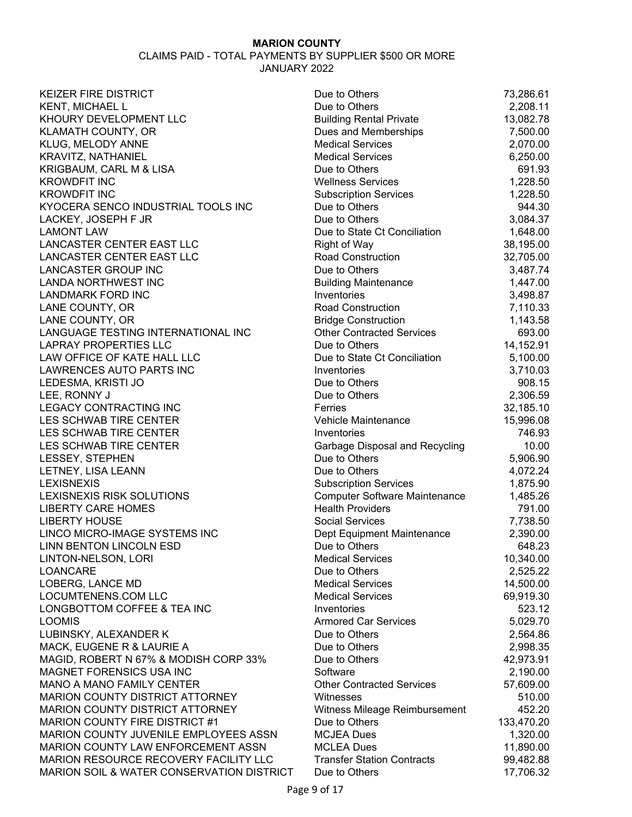| Due to Others                | 73,286.61                                                                                                                                                                                                                                                                                                                                                                                                                                                                                                                                                                                                                                                                                                                                                                                                                                                                                                                                                              |
|------------------------------|------------------------------------------------------------------------------------------------------------------------------------------------------------------------------------------------------------------------------------------------------------------------------------------------------------------------------------------------------------------------------------------------------------------------------------------------------------------------------------------------------------------------------------------------------------------------------------------------------------------------------------------------------------------------------------------------------------------------------------------------------------------------------------------------------------------------------------------------------------------------------------------------------------------------------------------------------------------------|
| Due to Others                | 2,208.11                                                                                                                                                                                                                                                                                                                                                                                                                                                                                                                                                                                                                                                                                                                                                                                                                                                                                                                                                               |
|                              | 13,082.78                                                                                                                                                                                                                                                                                                                                                                                                                                                                                                                                                                                                                                                                                                                                                                                                                                                                                                                                                              |
|                              | 7,500.00                                                                                                                                                                                                                                                                                                                                                                                                                                                                                                                                                                                                                                                                                                                                                                                                                                                                                                                                                               |
| <b>Medical Services</b>      | 2,070.00                                                                                                                                                                                                                                                                                                                                                                                                                                                                                                                                                                                                                                                                                                                                                                                                                                                                                                                                                               |
| <b>Medical Services</b>      | 6,250.00                                                                                                                                                                                                                                                                                                                                                                                                                                                                                                                                                                                                                                                                                                                                                                                                                                                                                                                                                               |
| Due to Others                | 691.93                                                                                                                                                                                                                                                                                                                                                                                                                                                                                                                                                                                                                                                                                                                                                                                                                                                                                                                                                                 |
| <b>Wellness Services</b>     | 1,228.50                                                                                                                                                                                                                                                                                                                                                                                                                                                                                                                                                                                                                                                                                                                                                                                                                                                                                                                                                               |
|                              | 1,228.50                                                                                                                                                                                                                                                                                                                                                                                                                                                                                                                                                                                                                                                                                                                                                                                                                                                                                                                                                               |
| Due to Others                | 944.30                                                                                                                                                                                                                                                                                                                                                                                                                                                                                                                                                                                                                                                                                                                                                                                                                                                                                                                                                                 |
| Due to Others                | 3,084.37                                                                                                                                                                                                                                                                                                                                                                                                                                                                                                                                                                                                                                                                                                                                                                                                                                                                                                                                                               |
| Due to State Ct Conciliation | 1,648.00                                                                                                                                                                                                                                                                                                                                                                                                                                                                                                                                                                                                                                                                                                                                                                                                                                                                                                                                                               |
|                              | 38,195.00                                                                                                                                                                                                                                                                                                                                                                                                                                                                                                                                                                                                                                                                                                                                                                                                                                                                                                                                                              |
| <b>Road Construction</b>     | 32,705.00                                                                                                                                                                                                                                                                                                                                                                                                                                                                                                                                                                                                                                                                                                                                                                                                                                                                                                                                                              |
| Due to Others                | 3,487.74                                                                                                                                                                                                                                                                                                                                                                                                                                                                                                                                                                                                                                                                                                                                                                                                                                                                                                                                                               |
|                              | 1,447.00                                                                                                                                                                                                                                                                                                                                                                                                                                                                                                                                                                                                                                                                                                                                                                                                                                                                                                                                                               |
|                              | 3,498.87                                                                                                                                                                                                                                                                                                                                                                                                                                                                                                                                                                                                                                                                                                                                                                                                                                                                                                                                                               |
|                              | 7,110.33                                                                                                                                                                                                                                                                                                                                                                                                                                                                                                                                                                                                                                                                                                                                                                                                                                                                                                                                                               |
|                              | 1,143.58                                                                                                                                                                                                                                                                                                                                                                                                                                                                                                                                                                                                                                                                                                                                                                                                                                                                                                                                                               |
|                              | 693.00                                                                                                                                                                                                                                                                                                                                                                                                                                                                                                                                                                                                                                                                                                                                                                                                                                                                                                                                                                 |
|                              | 14,152.91                                                                                                                                                                                                                                                                                                                                                                                                                                                                                                                                                                                                                                                                                                                                                                                                                                                                                                                                                              |
|                              | 5,100.00                                                                                                                                                                                                                                                                                                                                                                                                                                                                                                                                                                                                                                                                                                                                                                                                                                                                                                                                                               |
|                              | 3,710.03                                                                                                                                                                                                                                                                                                                                                                                                                                                                                                                                                                                                                                                                                                                                                                                                                                                                                                                                                               |
|                              | 908.15                                                                                                                                                                                                                                                                                                                                                                                                                                                                                                                                                                                                                                                                                                                                                                                                                                                                                                                                                                 |
|                              | 2,306.59                                                                                                                                                                                                                                                                                                                                                                                                                                                                                                                                                                                                                                                                                                                                                                                                                                                                                                                                                               |
|                              | 32,185.10                                                                                                                                                                                                                                                                                                                                                                                                                                                                                                                                                                                                                                                                                                                                                                                                                                                                                                                                                              |
|                              | 15,996.08                                                                                                                                                                                                                                                                                                                                                                                                                                                                                                                                                                                                                                                                                                                                                                                                                                                                                                                                                              |
| Inventories                  | 746.93                                                                                                                                                                                                                                                                                                                                                                                                                                                                                                                                                                                                                                                                                                                                                                                                                                                                                                                                                                 |
|                              | 10.00                                                                                                                                                                                                                                                                                                                                                                                                                                                                                                                                                                                                                                                                                                                                                                                                                                                                                                                                                                  |
|                              | 5,906.90                                                                                                                                                                                                                                                                                                                                                                                                                                                                                                                                                                                                                                                                                                                                                                                                                                                                                                                                                               |
|                              | 4,072.24                                                                                                                                                                                                                                                                                                                                                                                                                                                                                                                                                                                                                                                                                                                                                                                                                                                                                                                                                               |
|                              | 1,875.90                                                                                                                                                                                                                                                                                                                                                                                                                                                                                                                                                                                                                                                                                                                                                                                                                                                                                                                                                               |
|                              | 1,485.26                                                                                                                                                                                                                                                                                                                                                                                                                                                                                                                                                                                                                                                                                                                                                                                                                                                                                                                                                               |
|                              | 791.00                                                                                                                                                                                                                                                                                                                                                                                                                                                                                                                                                                                                                                                                                                                                                                                                                                                                                                                                                                 |
|                              | 7,738.50                                                                                                                                                                                                                                                                                                                                                                                                                                                                                                                                                                                                                                                                                                                                                                                                                                                                                                                                                               |
|                              | 2,390.00                                                                                                                                                                                                                                                                                                                                                                                                                                                                                                                                                                                                                                                                                                                                                                                                                                                                                                                                                               |
|                              | 648.23                                                                                                                                                                                                                                                                                                                                                                                                                                                                                                                                                                                                                                                                                                                                                                                                                                                                                                                                                                 |
|                              | 10,340.00                                                                                                                                                                                                                                                                                                                                                                                                                                                                                                                                                                                                                                                                                                                                                                                                                                                                                                                                                              |
|                              | 2,525.22                                                                                                                                                                                                                                                                                                                                                                                                                                                                                                                                                                                                                                                                                                                                                                                                                                                                                                                                                               |
|                              | 14,500.00                                                                                                                                                                                                                                                                                                                                                                                                                                                                                                                                                                                                                                                                                                                                                                                                                                                                                                                                                              |
|                              | 69,919.30                                                                                                                                                                                                                                                                                                                                                                                                                                                                                                                                                                                                                                                                                                                                                                                                                                                                                                                                                              |
|                              | 523.12                                                                                                                                                                                                                                                                                                                                                                                                                                                                                                                                                                                                                                                                                                                                                                                                                                                                                                                                                                 |
|                              | 5,029.70                                                                                                                                                                                                                                                                                                                                                                                                                                                                                                                                                                                                                                                                                                                                                                                                                                                                                                                                                               |
|                              | 2,564.86                                                                                                                                                                                                                                                                                                                                                                                                                                                                                                                                                                                                                                                                                                                                                                                                                                                                                                                                                               |
|                              | 2,998.35                                                                                                                                                                                                                                                                                                                                                                                                                                                                                                                                                                                                                                                                                                                                                                                                                                                                                                                                                               |
|                              | 42,973.91                                                                                                                                                                                                                                                                                                                                                                                                                                                                                                                                                                                                                                                                                                                                                                                                                                                                                                                                                              |
|                              | 2,190.00                                                                                                                                                                                                                                                                                                                                                                                                                                                                                                                                                                                                                                                                                                                                                                                                                                                                                                                                                               |
|                              | 57,609.00                                                                                                                                                                                                                                                                                                                                                                                                                                                                                                                                                                                                                                                                                                                                                                                                                                                                                                                                                              |
| Witnesses                    | 510.00                                                                                                                                                                                                                                                                                                                                                                                                                                                                                                                                                                                                                                                                                                                                                                                                                                                                                                                                                                 |
|                              | 452.20                                                                                                                                                                                                                                                                                                                                                                                                                                                                                                                                                                                                                                                                                                                                                                                                                                                                                                                                                                 |
| Due to Others                | 133,470.20                                                                                                                                                                                                                                                                                                                                                                                                                                                                                                                                                                                                                                                                                                                                                                                                                                                                                                                                                             |
| <b>MCJEA Dues</b>            | 1,320.00                                                                                                                                                                                                                                                                                                                                                                                                                                                                                                                                                                                                                                                                                                                                                                                                                                                                                                                                                               |
| <b>MCLEA Dues</b>            | 11,890.00                                                                                                                                                                                                                                                                                                                                                                                                                                                                                                                                                                                                                                                                                                                                                                                                                                                                                                                                                              |
|                              | 99,482.88                                                                                                                                                                                                                                                                                                                                                                                                                                                                                                                                                                                                                                                                                                                                                                                                                                                                                                                                                              |
| Due to Others                | 17,706.32                                                                                                                                                                                                                                                                                                                                                                                                                                                                                                                                                                                                                                                                                                                                                                                                                                                                                                                                                              |
|                              | <b>Building Rental Private</b><br>Dues and Memberships<br><b>Subscription Services</b><br><b>Right of Way</b><br><b>Building Maintenance</b><br>Inventories<br><b>Road Construction</b><br><b>Bridge Construction</b><br><b>Other Contracted Services</b><br>Due to Others<br>Due to State Ct Conciliation<br>Inventories<br>Due to Others<br>Due to Others<br>Ferries<br>Vehicle Maintenance<br>Garbage Disposal and Recycling<br>Due to Others<br>Due to Others<br><b>Subscription Services</b><br><b>Computer Software Maintenance</b><br><b>Health Providers</b><br><b>Social Services</b><br>Dept Equipment Maintenance<br>Due to Others<br><b>Medical Services</b><br>Due to Others<br><b>Medical Services</b><br><b>Medical Services</b><br>Inventories<br><b>Armored Car Services</b><br>Due to Others<br>Due to Others<br>Due to Others<br>Software<br><b>Other Contracted Services</b><br>Witness Mileage Reimbursement<br><b>Transfer Station Contracts</b> |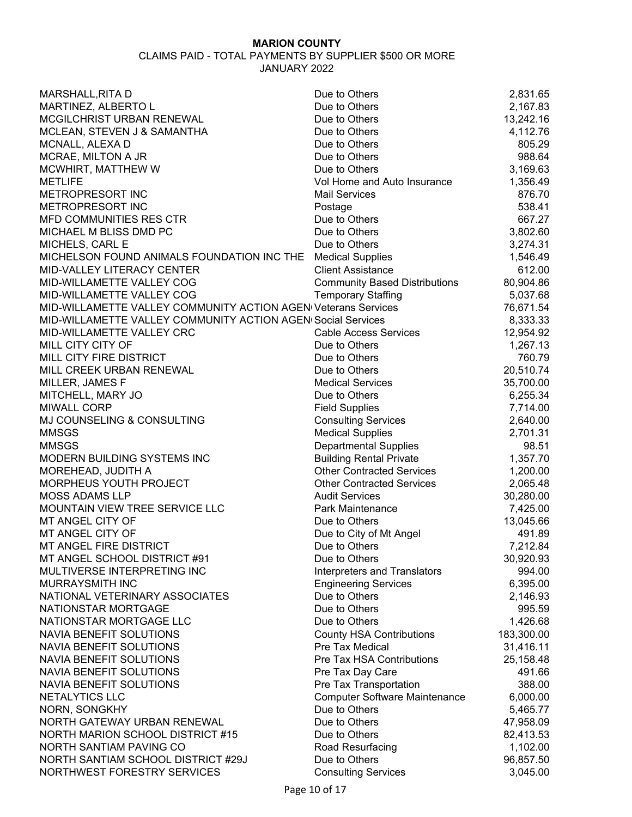| MARSHALL, RITA D                                              | Due to Others                                         | 2,831.65   |
|---------------------------------------------------------------|-------------------------------------------------------|------------|
| MARTINEZ, ALBERTO L                                           | Due to Others                                         | 2,167.83   |
| MCGILCHRIST URBAN RENEWAL                                     | Due to Others                                         | 13,242.16  |
| MCLEAN, STEVEN J & SAMANTHA                                   | Due to Others                                         | 4,112.76   |
| MCNALL, ALEXA D                                               | Due to Others                                         | 805.29     |
| MCRAE, MILTON A JR                                            | Due to Others                                         | 988.64     |
| MCWHIRT, MATTHEW W                                            | Due to Others                                         | 3,169.63   |
| <b>METLIFE</b>                                                | Vol Home and Auto Insurance                           | 1,356.49   |
| METROPRESORT INC                                              | <b>Mail Services</b>                                  | 876.70     |
| METROPRESORT INC                                              | Postage                                               | 538.41     |
| <b>MFD COMMUNITIES RES CTR</b>                                | Due to Others                                         | 667.27     |
| MICHAEL M BLISS DMD PC                                        | Due to Others                                         | 3,802.60   |
| MICHELS, CARL E                                               | Due to Others                                         | 3,274.31   |
| MICHELSON FOUND ANIMALS FOUNDATION INC THE                    | <b>Medical Supplies</b>                               | 1,546.49   |
| MID-VALLEY LITERACY CENTER                                    | <b>Client Assistance</b>                              | 612.00     |
| MID-WILLAMETTE VALLEY COG                                     | <b>Community Based Distributions</b>                  | 80,904.86  |
| MID-WILLAMETTE VALLEY COG                                     | <b>Temporary Staffing</b>                             | 5,037.68   |
| MID-WILLAMETTE VALLEY COMMUNITY ACTION AGEN Veterans Services |                                                       | 76,671.54  |
| MID-WILLAMETTE VALLEY COMMUNITY ACTION AGEN Social Services   |                                                       | 8,333.33   |
| MID-WILLAMETTE VALLEY CRC                                     | <b>Cable Access Services</b>                          | 12,954.92  |
| MILL CITY CITY OF                                             | Due to Others                                         | 1,267.13   |
| MILL CITY FIRE DISTRICT                                       | Due to Others                                         | 760.79     |
| MILL CREEK URBAN RENEWAL                                      | Due to Others                                         | 20,510.74  |
| MILLER, JAMES F                                               | <b>Medical Services</b>                               | 35,700.00  |
| MITCHELL, MARY JO                                             | Due to Others                                         | 6,255.34   |
| <b>MIWALL CORP</b>                                            | <b>Field Supplies</b>                                 | 7,714.00   |
| MJ COUNSELING & CONSULTING                                    | <b>Consulting Services</b>                            | 2,640.00   |
| <b>MMSGS</b>                                                  | <b>Medical Supplies</b>                               | 2,701.31   |
| <b>MMSGS</b>                                                  | <b>Departmental Supplies</b>                          | 98.51      |
| MODERN BUILDING SYSTEMS INC                                   | <b>Building Rental Private</b>                        | 1,357.70   |
| MOREHEAD, JUDITH A                                            | <b>Other Contracted Services</b>                      | 1,200.00   |
| MORPHEUS YOUTH PROJECT                                        | <b>Other Contracted Services</b>                      | 2,065.48   |
| <b>MOSS ADAMS LLP</b>                                         | <b>Audit Services</b>                                 | 30,280.00  |
| MOUNTAIN VIEW TREE SERVICE LLC                                | Park Maintenance                                      | 7,425.00   |
| MT ANGEL CITY OF                                              | Due to Others                                         | 13,045.66  |
| MT ANGEL CITY OF                                              | Due to City of Mt Angel                               | 491.89     |
| MT ANGEL FIRE DISTRICT                                        | Due to Others                                         | 7,212.84   |
| MT ANGEL SCHOOL DISTRICT #91                                  | Due to Others                                         | 30,920.93  |
| MULTIVERSE INTERPRETING INC                                   | Interpreters and Translators                          | 994.00     |
| MURRAYSMITH INC                                               | <b>Engineering Services</b>                           | 6,395.00   |
| NATIONAL VETERINARY ASSOCIATES                                | Due to Others                                         | 2,146.93   |
| NATIONSTAR MORTGAGE                                           | Due to Others                                         | 995.59     |
| NATIONSTAR MORTGAGE LLC                                       | Due to Others                                         | 1,426.68   |
| NAVIA BENEFIT SOLUTIONS                                       | <b>County HSA Contributions</b>                       | 183,300.00 |
| NAVIA BENEFIT SOLUTIONS                                       | Pre Tax Medical                                       | 31,416.11  |
| NAVIA BENEFIT SOLUTIONS                                       | Pre Tax HSA Contributions                             | 25,158.48  |
| NAVIA BENEFIT SOLUTIONS                                       | Pre Tax Day Care                                      | 491.66     |
| NAVIA BENEFIT SOLUTIONS                                       | Pre Tax Transportation                                | 388.00     |
| NETALYTICS LLC                                                |                                                       |            |
|                                                               | <b>Computer Software Maintenance</b><br>Due to Others | 6,000.00   |
| NORN, SONGKHY<br>NORTH GATEWAY URBAN RENEWAL                  | Due to Others                                         | 5,465.77   |
|                                                               |                                                       | 47,958.09  |
| NORTH MARION SCHOOL DISTRICT #15                              | Due to Others                                         | 82,413.53  |
| NORTH SANTIAM PAVING CO                                       | Road Resurfacing                                      | 1,102.00   |
| NORTH SANTIAM SCHOOL DISTRICT #29J                            | Due to Others                                         | 96,857.50  |
| NORTHWEST FORESTRY SERVICES                                   | <b>Consulting Services</b>                            | 3,045.00   |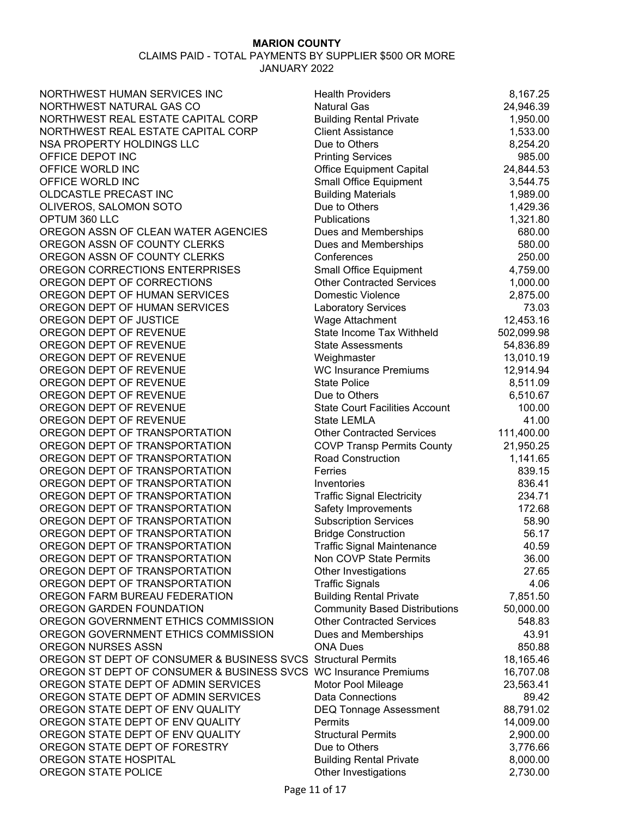| NORTHWEST HUMAN SERVICES INC                                     | <b>Health Providers</b>               | 8,167.25   |
|------------------------------------------------------------------|---------------------------------------|------------|
| NORTHWEST NATURAL GAS CO                                         | <b>Natural Gas</b>                    | 24,946.39  |
| NORTHWEST REAL ESTATE CAPITAL CORP                               | <b>Building Rental Private</b>        | 1,950.00   |
| NORTHWEST REAL ESTATE CAPITAL CORP                               | <b>Client Assistance</b>              | 1,533.00   |
| NSA PROPERTY HOLDINGS LLC                                        | Due to Others                         | 8,254.20   |
| OFFICE DEPOT INC                                                 | <b>Printing Services</b>              | 985.00     |
| OFFICE WORLD INC                                                 | <b>Office Equipment Capital</b>       | 24,844.53  |
| OFFICE WORLD INC                                                 | Small Office Equipment                | 3,544.75   |
| OLDCASTLE PRECAST INC                                            | <b>Building Materials</b>             | 1,989.00   |
| OLIVEROS, SALOMON SOTO                                           | Due to Others                         | 1,429.36   |
| OPTUM 360 LLC                                                    | Publications                          | 1,321.80   |
| OREGON ASSN OF CLEAN WATER AGENCIES                              | Dues and Memberships                  | 680.00     |
| OREGON ASSN OF COUNTY CLERKS                                     | Dues and Memberships                  | 580.00     |
| OREGON ASSN OF COUNTY CLERKS                                     | Conferences                           | 250.00     |
| OREGON CORRECTIONS ENTERPRISES                                   | <b>Small Office Equipment</b>         | 4,759.00   |
| OREGON DEPT OF CORRECTIONS                                       | <b>Other Contracted Services</b>      | 1,000.00   |
| OREGON DEPT OF HUMAN SERVICES                                    | <b>Domestic Violence</b>              | 2,875.00   |
| OREGON DEPT OF HUMAN SERVICES                                    | <b>Laboratory Services</b>            | 73.03      |
| OREGON DEPT OF JUSTICE                                           | Wage Attachment                       | 12,453.16  |
| OREGON DEPT OF REVENUE                                           | State Income Tax Withheld             | 502,099.98 |
| OREGON DEPT OF REVENUE                                           | <b>State Assessments</b>              | 54,836.89  |
| OREGON DEPT OF REVENUE                                           | Weighmaster                           | 13,010.19  |
| OREGON DEPT OF REVENUE                                           | <b>WC Insurance Premiums</b>          | 12,914.94  |
| OREGON DEPT OF REVENUE                                           | <b>State Police</b>                   | 8,511.09   |
| OREGON DEPT OF REVENUE                                           | Due to Others                         | 6,510.67   |
| OREGON DEPT OF REVENUE                                           | <b>State Court Facilities Account</b> | 100.00     |
| OREGON DEPT OF REVENUE                                           | State LEMLA                           | 41.00      |
| OREGON DEPT OF TRANSPORTATION                                    | <b>Other Contracted Services</b>      | 111,400.00 |
| OREGON DEPT OF TRANSPORTATION                                    | <b>COVP Transp Permits County</b>     | 21,950.25  |
| OREGON DEPT OF TRANSPORTATION                                    | <b>Road Construction</b>              | 1,141.65   |
| OREGON DEPT OF TRANSPORTATION                                    | Ferries                               | 839.15     |
| OREGON DEPT OF TRANSPORTATION                                    | Inventories                           | 836.41     |
| OREGON DEPT OF TRANSPORTATION                                    | <b>Traffic Signal Electricity</b>     | 234.71     |
| OREGON DEPT OF TRANSPORTATION                                    | Safety Improvements                   | 172.68     |
| OREGON DEPT OF TRANSPORTATION                                    | <b>Subscription Services</b>          | 58.90      |
| OREGON DEPT OF TRANSPORTATION                                    | <b>Bridge Construction</b>            | 56.17      |
| OREGON DEPT OF TRANSPORTATION                                    | <b>Traffic Signal Maintenance</b>     | 40.59      |
| OREGON DEPT OF TRANSPORTATION                                    | Non COVP State Permits                | 36.00      |
| OREGON DEPT OF TRANSPORTATION                                    | Other Investigations                  | 27.65      |
| OREGON DEPT OF TRANSPORTATION                                    | <b>Traffic Signals</b>                | 4.06       |
| OREGON FARM BUREAU FEDERATION                                    | <b>Building Rental Private</b>        | 7,851.50   |
| OREGON GARDEN FOUNDATION                                         | <b>Community Based Distributions</b>  | 50,000.00  |
| OREGON GOVERNMENT ETHICS COMMISSION                              | <b>Other Contracted Services</b>      | 548.83     |
| OREGON GOVERNMENT ETHICS COMMISSION                              | Dues and Memberships                  | 43.91      |
| OREGON NURSES ASSN                                               | <b>ONA Dues</b>                       | 850.88     |
| OREGON ST DEPT OF CONSUMER & BUSINESS SVCS Structural Permits    |                                       | 18,165.46  |
| OREGON ST DEPT OF CONSUMER & BUSINESS SVCS WC Insurance Premiums |                                       | 16,707.08  |
| OREGON STATE DEPT OF ADMIN SERVICES                              | Motor Pool Mileage                    | 23,563.41  |
| OREGON STATE DEPT OF ADMIN SERVICES                              | <b>Data Connections</b>               | 89.42      |
| OREGON STATE DEPT OF ENV QUALITY                                 | <b>DEQ Tonnage Assessment</b>         | 88,791.02  |
| OREGON STATE DEPT OF ENV QUALITY                                 | Permits                               | 14,009.00  |
| OREGON STATE DEPT OF ENV QUALITY                                 | <b>Structural Permits</b>             | 2,900.00   |
| OREGON STATE DEPT OF FORESTRY                                    | Due to Others                         | 3,776.66   |
| OREGON STATE HOSPITAL                                            | <b>Building Rental Private</b>        | 8,000.00   |
| OREGON STATE POLICE                                              | Other Investigations                  | 2,730.00   |
|                                                                  |                                       |            |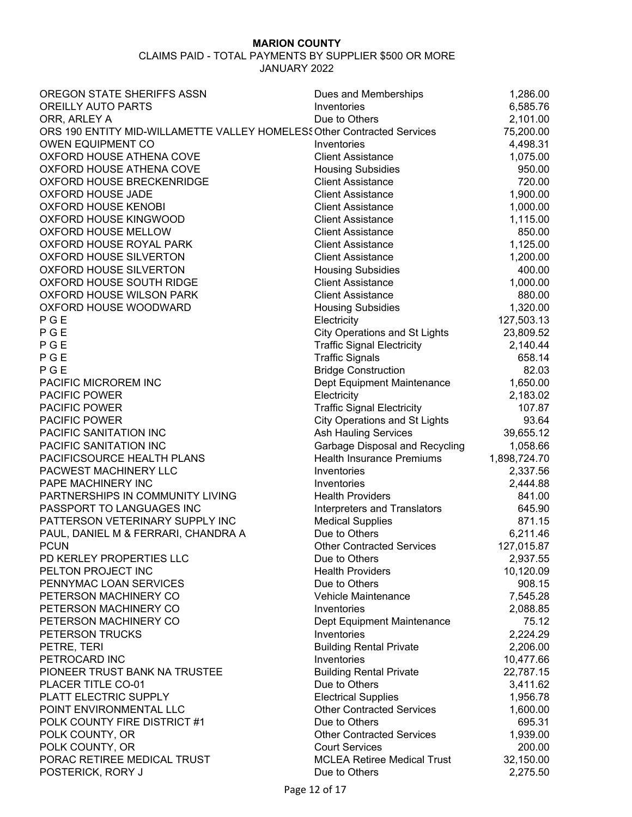| OREGON STATE SHERIFFS ASSN                                              | Dues and Memberships                                        | 1,286.00     |
|-------------------------------------------------------------------------|-------------------------------------------------------------|--------------|
| OREILLY AUTO PARTS                                                      | Inventories                                                 | 6,585.76     |
| ORR, ARLEY A                                                            | Due to Others                                               | 2,101.00     |
| ORS 190 ENTITY MID-WILLAMETTE VALLEY HOMELES! Other Contracted Services |                                                             | 75,200.00    |
| <b>OWEN EQUIPMENT CO</b>                                                | Inventories                                                 | 4,498.31     |
| OXFORD HOUSE ATHENA COVE                                                | <b>Client Assistance</b>                                    | 1,075.00     |
| OXFORD HOUSE ATHENA COVE                                                | <b>Housing Subsidies</b>                                    | 950.00       |
| OXFORD HOUSE BRECKENRIDGE                                               | <b>Client Assistance</b>                                    | 720.00       |
| <b>OXFORD HOUSE JADE</b>                                                | <b>Client Assistance</b>                                    | 1,900.00     |
| OXFORD HOUSE KENOBI                                                     | <b>Client Assistance</b>                                    | 1,000.00     |
| OXFORD HOUSE KINGWOOD                                                   | <b>Client Assistance</b>                                    | 1,115.00     |
| OXFORD HOUSE MELLOW                                                     | <b>Client Assistance</b>                                    | 850.00       |
| OXFORD HOUSE ROYAL PARK                                                 | <b>Client Assistance</b>                                    | 1,125.00     |
| OXFORD HOUSE SILVERTON                                                  | <b>Client Assistance</b>                                    | 1,200.00     |
| OXFORD HOUSE SILVERTON                                                  | <b>Housing Subsidies</b>                                    | 400.00       |
| OXFORD HOUSE SOUTH RIDGE                                                | <b>Client Assistance</b>                                    | 1,000.00     |
| OXFORD HOUSE WILSON PARK                                                | <b>Client Assistance</b>                                    | 880.00       |
| OXFORD HOUSE WOODWARD                                                   | <b>Housing Subsidies</b>                                    | 1,320.00     |
| PGE                                                                     | Electricity                                                 | 127,503.13   |
| PGE                                                                     | <b>City Operations and St Lights</b>                        | 23,809.52    |
| PGE                                                                     | <b>Traffic Signal Electricity</b>                           | 2,140.44     |
| PGE                                                                     | <b>Traffic Signals</b>                                      | 658.14       |
| PGE                                                                     | <b>Bridge Construction</b>                                  | 82.03        |
| PACIFIC MICROREM INC                                                    | Dept Equipment Maintenance                                  | 1,650.00     |
| <b>PACIFIC POWER</b>                                                    | Electricity                                                 | 2,183.02     |
| <b>PACIFIC POWER</b>                                                    | <b>Traffic Signal Electricity</b>                           | 107.87       |
| <b>PACIFIC POWER</b>                                                    | <b>City Operations and St Lights</b>                        | 93.64        |
| PACIFIC SANITATION INC                                                  | Ash Hauling Services                                        | 39,655.12    |
| PACIFIC SANITATION INC                                                  | Garbage Disposal and Recycling                              | 1,058.66     |
| PACIFICSOURCE HEALTH PLANS                                              | <b>Health Insurance Premiums</b>                            | 1,898,724.70 |
| PACWEST MACHINERY LLC                                                   | Inventories                                                 | 2,337.56     |
| PAPE MACHINERY INC                                                      | Inventories                                                 | 2,444.88     |
| PARTNERSHIPS IN COMMUNITY LIVING                                        | <b>Health Providers</b>                                     | 841.00       |
| PASSPORT TO LANGUAGES INC                                               | Interpreters and Translators                                | 645.90       |
| PATTERSON VETERINARY SUPPLY INC                                         | <b>Medical Supplies</b>                                     | 871.15       |
| PAUL, DANIEL M & FERRARI, CHANDRA A                                     | Due to Others                                               | 6,211.46     |
| <b>PCUN</b>                                                             | <b>Other Contracted Services</b>                            | 127,015.87   |
| PD KERLEY PROPERTIES LLC                                                | Due to Others                                               | 2,937.55     |
| PELTON PROJECT INC                                                      | <b>Health Providers</b>                                     | 10,120.09    |
| PENNYMAC LOAN SERVICES                                                  | Due to Others                                               | 908.15       |
| PETERSON MACHINERY CO                                                   | Vehicle Maintenance                                         | 7,545.28     |
| PETERSON MACHINERY CO                                                   | Inventories                                                 | 2,088.85     |
| PETERSON MACHINERY CO                                                   | Dept Equipment Maintenance                                  | 75.12        |
| PETERSON TRUCKS                                                         | Inventories                                                 | 2,224.29     |
| PETRE, TERI                                                             | <b>Building Rental Private</b>                              | 2,206.00     |
| PETROCARD INC                                                           | Inventories                                                 | 10,477.66    |
| PIONEER TRUST BANK NA TRUSTEE                                           | <b>Building Rental Private</b>                              | 22,787.15    |
| PLACER TITLE CO-01                                                      | Due to Others                                               | 3,411.62     |
| PLATT ELECTRIC SUPPLY                                                   | <b>Electrical Supplies</b>                                  |              |
|                                                                         | <b>Other Contracted Services</b>                            | 1,956.78     |
| POINT ENVIRONMENTAL LLC<br>POLK COUNTY FIRE DISTRICT #1                 | Due to Others                                               | 1,600.00     |
|                                                                         |                                                             | 695.31       |
| POLK COUNTY, OR                                                         | <b>Other Contracted Services</b>                            | 1,939.00     |
| POLK COUNTY, OR                                                         | <b>Court Services</b><br><b>MCLEA Retiree Medical Trust</b> | 200.00       |
| PORAC RETIREE MEDICAL TRUST<br>POSTERICK, RORY J                        |                                                             | 32,150.00    |
|                                                                         | Due to Others                                               | 2,275.50     |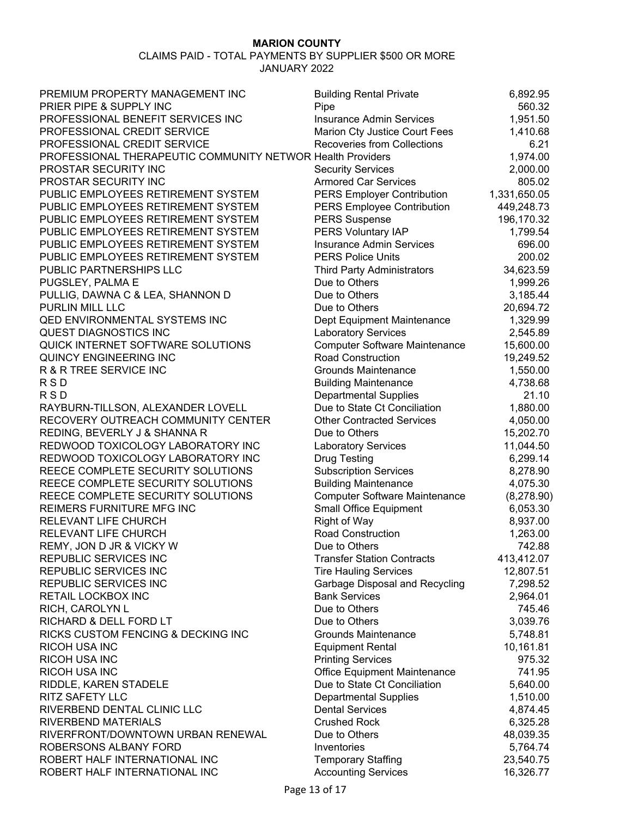| PREMIUM PROPERTY MANAGEMENT INC                            | <b>Building Rental Private</b>                     | 6,892.95     |
|------------------------------------------------------------|----------------------------------------------------|--------------|
| PRIER PIPE & SUPPLY INC                                    | Pipe                                               | 560.32       |
| PROFESSIONAL BENEFIT SERVICES INC                          | <b>Insurance Admin Services</b>                    | 1,951.50     |
| PROFESSIONAL CREDIT SERVICE                                | Marion Cty Justice Court Fees                      | 1,410.68     |
| PROFESSIONAL CREDIT SERVICE                                | <b>Recoveries from Collections</b>                 | 6.21         |
| PROFESSIONAL THERAPEUTIC COMMUNITY NETWOR Health Providers |                                                    | 1,974.00     |
| PROSTAR SECURITY INC                                       | <b>Security Services</b>                           | 2,000.00     |
| PROSTAR SECURITY INC                                       | <b>Armored Car Services</b>                        | 805.02       |
| PUBLIC EMPLOYEES RETIREMENT SYSTEM                         | <b>PERS Employer Contribution</b>                  | 1,331,650.05 |
| PUBLIC EMPLOYEES RETIREMENT SYSTEM                         | <b>PERS Employee Contribution</b>                  | 449,248.73   |
| PUBLIC EMPLOYEES RETIREMENT SYSTEM                         | <b>PERS Suspense</b>                               | 196,170.32   |
| PUBLIC EMPLOYEES RETIREMENT SYSTEM                         | PERS Voluntary IAP                                 | 1,799.54     |
| PUBLIC EMPLOYEES RETIREMENT SYSTEM                         | <b>Insurance Admin Services</b>                    | 696.00       |
| PUBLIC EMPLOYEES RETIREMENT SYSTEM                         | <b>PERS Police Units</b>                           | 200.02       |
| PUBLIC PARTNERSHIPS LLC                                    |                                                    |              |
|                                                            | <b>Third Party Administrators</b><br>Due to Others | 34,623.59    |
| PUGSLEY, PALMA E                                           | Due to Others                                      | 1,999.26     |
| PULLIG, DAWNA C & LEA, SHANNON D                           |                                                    | 3,185.44     |
| PURLIN MILL LLC                                            | Due to Others                                      | 20,694.72    |
| <b>QED ENVIRONMENTAL SYSTEMS INC</b>                       | Dept Equipment Maintenance                         | 1,329.99     |
| <b>QUEST DIAGNOSTICS INC</b>                               | <b>Laboratory Services</b>                         | 2,545.89     |
| QUICK INTERNET SOFTWARE SOLUTIONS                          | <b>Computer Software Maintenance</b>               | 15,600.00    |
| <b>QUINCY ENGINEERING INC</b>                              | <b>Road Construction</b>                           | 19,249.52    |
| R & R TREE SERVICE INC                                     | <b>Grounds Maintenance</b>                         | 1,550.00     |
| <b>RSD</b>                                                 | <b>Building Maintenance</b>                        | 4,738.68     |
| <b>RSD</b>                                                 | <b>Departmental Supplies</b>                       | 21.10        |
| RAYBURN-TILLSON, ALEXANDER LOVELL                          | Due to State Ct Conciliation                       | 1,880.00     |
| RECOVERY OUTREACH COMMUNITY CENTER                         | <b>Other Contracted Services</b>                   | 4,050.00     |
| REDING, BEVERLY J & SHANNA R                               | Due to Others                                      | 15,202.70    |
| REDWOOD TOXICOLOGY LABORATORY INC                          | <b>Laboratory Services</b>                         | 11,044.50    |
| REDWOOD TOXICOLOGY LABORATORY INC                          | <b>Drug Testing</b>                                | 6,299.14     |
| REECE COMPLETE SECURITY SOLUTIONS                          | <b>Subscription Services</b>                       | 8,278.90     |
| REECE COMPLETE SECURITY SOLUTIONS                          | <b>Building Maintenance</b>                        | 4,075.30     |
| REECE COMPLETE SECURITY SOLUTIONS                          | <b>Computer Software Maintenance</b>               | (8,278.90)   |
| REIMERS FURNITURE MFG INC                                  | Small Office Equipment                             | 6,053.30     |
| RELEVANT LIFE CHURCH                                       | <b>Right of Way</b>                                | 8,937.00     |
| RELEVANT LIFE CHURCH                                       | <b>Road Construction</b>                           | 1,263.00     |
| REMY, JON D JR & VICKY W                                   | Due to Others                                      | 742.88       |
| REPUBLIC SERVICES INC                                      | <b>Transfer Station Contracts</b>                  | 413,412.07   |
| REPUBLIC SERVICES INC                                      | <b>Tire Hauling Services</b>                       | 12,807.51    |
| REPUBLIC SERVICES INC                                      | Garbage Disposal and Recycling                     | 7,298.52     |
| RETAIL LOCKBOX INC                                         | <b>Bank Services</b>                               | 2,964.01     |
| RICH, CAROLYN L                                            | Due to Others                                      | 745.46       |
| RICHARD & DELL FORD LT                                     | Due to Others                                      | 3,039.76     |
| RICKS CUSTOM FENCING & DECKING INC                         | <b>Grounds Maintenance</b>                         | 5,748.81     |
| RICOH USA INC                                              | <b>Equipment Rental</b>                            | 10,161.81    |
| <b>RICOH USA INC</b>                                       | <b>Printing Services</b>                           | 975.32       |
| RICOH USA INC                                              | Office Equipment Maintenance                       | 741.95       |
| RIDDLE, KAREN STADELE                                      | Due to State Ct Conciliation                       | 5,640.00     |
| <b>RITZ SAFETY LLC</b>                                     | <b>Departmental Supplies</b>                       | 1,510.00     |
| RIVERBEND DENTAL CLINIC LLC                                | <b>Dental Services</b>                             | 4,874.45     |
| RIVERBEND MATERIALS                                        | <b>Crushed Rock</b>                                | 6,325.28     |
| RIVERFRONT/DOWNTOWN URBAN RENEWAL                          | Due to Others                                      | 48,039.35    |
| ROBERSONS ALBANY FORD                                      | Inventories                                        | 5,764.74     |
| ROBERT HALF INTERNATIONAL INC                              | <b>Temporary Staffing</b>                          | 23,540.75    |
| ROBERT HALF INTERNATIONAL INC                              | <b>Accounting Services</b>                         | 16,326.77    |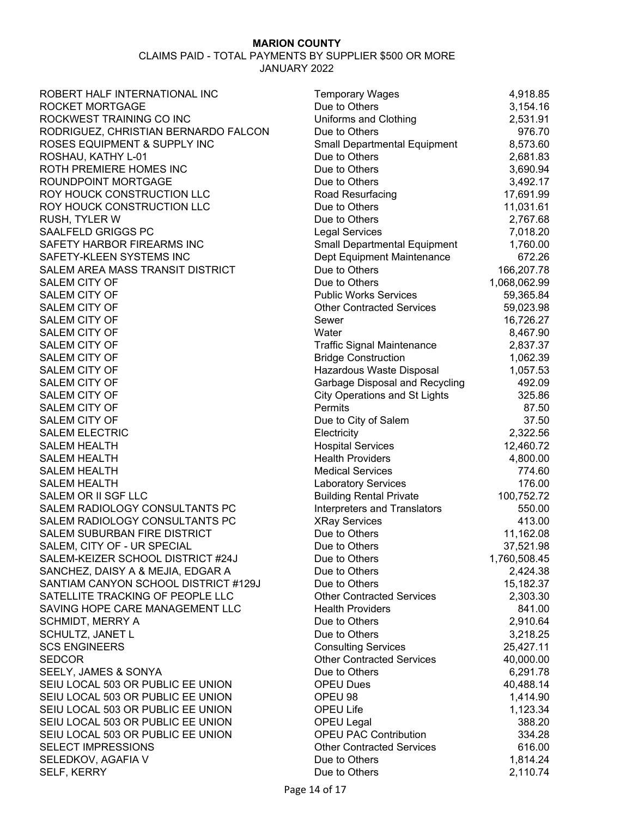| ROBERT HALF INTERNATIONAL INC        | <b>Temporary Wages</b>               | 4,918.85     |
|--------------------------------------|--------------------------------------|--------------|
| ROCKET MORTGAGE                      | Due to Others                        | 3,154.16     |
| ROCKWEST TRAINING CO INC             | Uniforms and Clothing                | 2,531.91     |
| RODRIGUEZ, CHRISTIAN BERNARDO FALCON | Due to Others                        | 976.70       |
| ROSES EQUIPMENT & SUPPLY INC         | <b>Small Departmental Equipment</b>  | 8,573.60     |
| ROSHAU, KATHY L-01                   | Due to Others                        | 2,681.83     |
| ROTH PREMIERE HOMES INC              | Due to Others                        | 3,690.94     |
| ROUNDPOINT MORTGAGE                  | Due to Others                        | 3,492.17     |
| ROY HOUCK CONSTRUCTION LLC           | Road Resurfacing                     | 17,691.99    |
| ROY HOUCK CONSTRUCTION LLC           | Due to Others                        | 11,031.61    |
| <b>RUSH, TYLER W</b>                 | Due to Others                        | 2,767.68     |
| SAALFELD GRIGGS PC                   | <b>Legal Services</b>                | 7,018.20     |
| SAFETY HARBOR FIREARMS INC           | Small Departmental Equipment         | 1,760.00     |
| SAFETY-KLEEN SYSTEMS INC             | Dept Equipment Maintenance           | 672.26       |
| SALEM AREA MASS TRANSIT DISTRICT     | Due to Others                        | 166,207.78   |
| <b>SALEM CITY OF</b>                 | Due to Others                        | 1,068,062.99 |
| <b>SALEM CITY OF</b>                 | <b>Public Works Services</b>         | 59,365.84    |
| <b>SALEM CITY OF</b>                 | <b>Other Contracted Services</b>     | 59,023.98    |
| <b>SALEM CITY OF</b>                 | Sewer                                | 16,726.27    |
| <b>SALEM CITY OF</b>                 | Water                                | 8,467.90     |
| <b>SALEM CITY OF</b>                 | <b>Traffic Signal Maintenance</b>    | 2,837.37     |
| SALEM CITY OF                        | <b>Bridge Construction</b>           | 1,062.39     |
| <b>SALEM CITY OF</b>                 | Hazardous Waste Disposal             | 1,057.53     |
| SALEM CITY OF                        | Garbage Disposal and Recycling       | 492.09       |
| <b>SALEM CITY OF</b>                 | <b>City Operations and St Lights</b> | 325.86       |
| SALEM CITY OF                        | Permits                              | 87.50        |
| <b>SALEM CITY OF</b>                 | Due to City of Salem                 | 37.50        |
| <b>SALEM ELECTRIC</b>                | Electricity                          | 2,322.56     |
| <b>SALEM HEALTH</b>                  | <b>Hospital Services</b>             | 12,460.72    |
| <b>SALEM HEALTH</b>                  | <b>Health Providers</b>              | 4,800.00     |
| <b>SALEM HEALTH</b>                  | <b>Medical Services</b>              | 774.60       |
| <b>SALEM HEALTH</b>                  | <b>Laboratory Services</b>           | 176.00       |
| SALEM OR II SGF LLC                  | <b>Building Rental Private</b>       | 100,752.72   |
| SALEM RADIOLOGY CONSULTANTS PC       | Interpreters and Translators         | 550.00       |
| SALEM RADIOLOGY CONSULTANTS PC       | <b>XRay Services</b>                 | 413.00       |
| SALEM SUBURBAN FIRE DISTRICT         | Due to Others                        | 11,162.08    |
| SALEM, CITY OF - UR SPECIAL          | Due to Others                        | 37,521.98    |
| SALEM-KEIZER SCHOOL DISTRICT #24J    | Due to Others                        | 1,760,508.45 |
| SANCHEZ, DAISY A & MEJIA, EDGAR A    | Due to Others                        | 2,424.38     |
| SANTIAM CANYON SCHOOL DISTRICT #129J | Due to Others                        | 15,182.37    |
| SATELLITE TRACKING OF PEOPLE LLC     | <b>Other Contracted Services</b>     | 2,303.30     |
| SAVING HOPE CARE MANAGEMENT LLC      | <b>Health Providers</b>              | 841.00       |
| <b>SCHMIDT, MERRY A</b>              | Due to Others                        | 2,910.64     |
| SCHULTZ, JANET L                     | Due to Others                        | 3,218.25     |
| <b>SCS ENGINEERS</b>                 | <b>Consulting Services</b>           | 25,427.11    |
| <b>SEDCOR</b>                        | <b>Other Contracted Services</b>     | 40,000.00    |
| SEELY, JAMES & SONYA                 | Due to Others                        |              |
| SEIU LOCAL 503 OR PUBLIC EE UNION    | <b>OPEU Dues</b>                     | 6,291.78     |
| SEIU LOCAL 503 OR PUBLIC EE UNION    | OPEU 98                              | 40,488.14    |
|                                      |                                      | 1,414.90     |
| SEIU LOCAL 503 OR PUBLIC EE UNION    | OPEU Life                            | 1,123.34     |
| SEIU LOCAL 503 OR PUBLIC EE UNION    | OPEU Legal                           | 388.20       |
| SEIU LOCAL 503 OR PUBLIC EE UNION    | <b>OPEU PAC Contribution</b>         | 334.28       |
| <b>SELECT IMPRESSIONS</b>            | <b>Other Contracted Services</b>     | 616.00       |
| SELEDKOV, AGAFIA V                   | Due to Others                        | 1,814.24     |
| SELF, KERRY                          | Due to Others                        | 2,110.74     |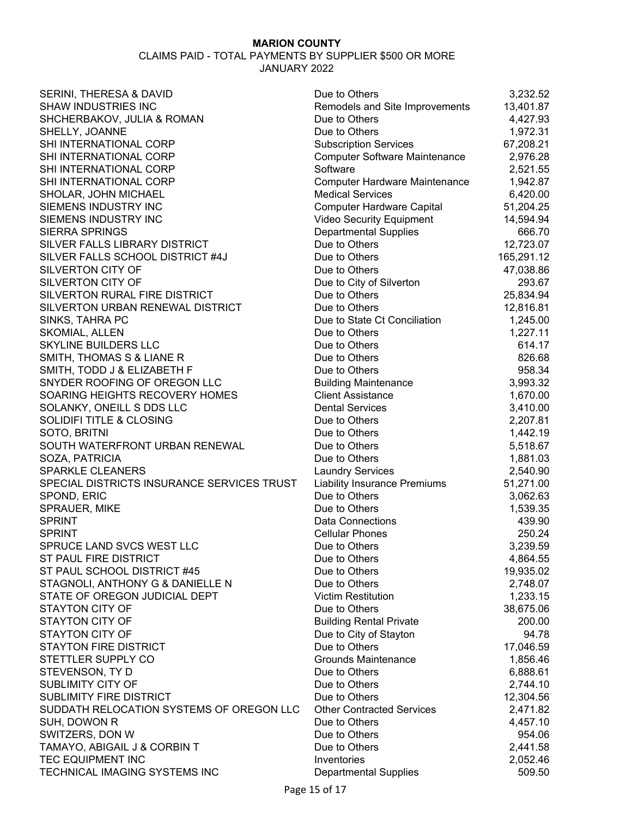| SERINI, THERESA & DAVID                    | Due to Others                           | 3,232.52   |
|--------------------------------------------|-----------------------------------------|------------|
| SHAW INDUSTRIES INC                        | Remodels and Site Improvements          | 13,401.87  |
| SHCHERBAKOV, JULIA & ROMAN                 | Due to Others                           | 4,427.93   |
| SHELLY, JOANNE                             | Due to Others                           | 1,972.31   |
| SHI INTERNATIONAL CORP                     | <b>Subscription Services</b>            | 67,208.21  |
| SHI INTERNATIONAL CORP                     | <b>Computer Software Maintenance</b>    | 2,976.28   |
| SHI INTERNATIONAL CORP                     | Software                                | 2,521.55   |
| SHI INTERNATIONAL CORP                     | <b>Computer Hardware Maintenance</b>    | 1,942.87   |
| SHOLAR, JOHN MICHAEL                       | <b>Medical Services</b>                 | 6,420.00   |
| SIEMENS INDUSTRY INC                       | <b>Computer Hardware Capital</b>        | 51,204.25  |
| SIEMENS INDUSTRY INC                       | Video Security Equipment                | 14,594.94  |
| <b>SIERRA SPRINGS</b>                      | <b>Departmental Supplies</b>            | 666.70     |
| SILVER FALLS LIBRARY DISTRICT              | Due to Others                           | 12,723.07  |
| SILVER FALLS SCHOOL DISTRICT #4J           | Due to Others                           | 165,291.12 |
| <b>SILVERTON CITY OF</b>                   | Due to Others                           | 47,038.86  |
| <b>SILVERTON CITY OF</b>                   | Due to City of Silverton                | 293.67     |
| SILVERTON RURAL FIRE DISTRICT              | Due to Others                           | 25,834.94  |
| SILVERTON URBAN RENEWAL DISTRICT           | Due to Others                           | 12,816.81  |
| SINKS, TAHRA PC                            | Due to State Ct Conciliation            | 1,245.00   |
| SKOMIAL, ALLEN                             | Due to Others                           | 1,227.11   |
| SKYLINE BUILDERS LLC                       | Due to Others                           | 614.17     |
| SMITH, THOMAS S & LIANE R                  | Due to Others                           | 826.68     |
| SMITH, TODD J & ELIZABETH F                | Due to Others                           | 958.34     |
| SNYDER ROOFING OF OREGON LLC               | <b>Building Maintenance</b>             | 3,993.32   |
| SOARING HEIGHTS RECOVERY HOMES             | <b>Client Assistance</b>                | 1,670.00   |
| SOLANKY, ONEILL S DDS LLC                  | <b>Dental Services</b>                  | 3,410.00   |
| <b>SOLIDIFI TITLE &amp; CLOSING</b>        | Due to Others                           | 2,207.81   |
| SOTO, BRITNI                               | Due to Others                           | 1,442.19   |
| SOUTH WATERFRONT URBAN RENEWAL             | Due to Others                           | 5,518.67   |
| SOZA, PATRICIA                             | Due to Others                           | 1,881.03   |
| <b>SPARKLE CLEANERS</b>                    | <b>Laundry Services</b>                 | 2,540.90   |
| SPECIAL DISTRICTS INSURANCE SERVICES TRUST | <b>Liability Insurance Premiums</b>     | 51,271.00  |
| SPOND, ERIC                                | Due to Others                           | 3,062.63   |
| SPRAUER, MIKE                              | Due to Others                           | 1,539.35   |
| <b>SPRINT</b>                              | <b>Data Connections</b>                 | 439.90     |
| <b>SPRINT</b>                              | <b>Cellular Phones</b>                  | 250.24     |
| SPRUCE LAND SVCS WEST LLC                  | Due to Others                           | 3,239.59   |
| ST PAUL FIRE DISTRICT                      | Due to Others                           | 4,864.55   |
| ST PAUL SCHOOL DISTRICT #45                | Due to Others                           | 19,935.02  |
| STAGNOLI, ANTHONY G & DANIELLE N           | Due to Others                           | 2,748.07   |
| STATE OF OREGON JUDICIAL DEPT              | <b>Victim Restitution</b>               | 1,233.15   |
| <b>STAYTON CITY OF</b>                     | Due to Others                           | 38,675.06  |
| <b>STAYTON CITY OF</b>                     |                                         | 200.00     |
| <b>STAYTON CITY OF</b>                     | <b>Building Rental Private</b>          | 94.78      |
| <b>STAYTON FIRE DISTRICT</b>               | Due to City of Stayton<br>Due to Others |            |
|                                            | <b>Grounds Maintenance</b>              | 17,046.59  |
| STETTLER SUPPLY CO                         |                                         | 1,856.46   |
| STEVENSON, TY D                            | Due to Others                           | 6,888.61   |
| SUBLIMITY CITY OF                          | Due to Others                           | 2,744.10   |
| <b>SUBLIMITY FIRE DISTRICT</b>             | Due to Others                           | 12,304.56  |
| SUDDATH RELOCATION SYSTEMS OF OREGON LLC   | <b>Other Contracted Services</b>        | 2,471.82   |
| SUH, DOWON R                               | Due to Others                           | 4,457.10   |
| SWITZERS, DON W                            | Due to Others                           | 954.06     |
| TAMAYO, ABIGAIL J & CORBIN T               | Due to Others                           | 2,441.58   |
| TEC EQUIPMENT INC                          | Inventories                             | 2,052.46   |
| TECHNICAL IMAGING SYSTEMS INC              | <b>Departmental Supplies</b>            | 509.50     |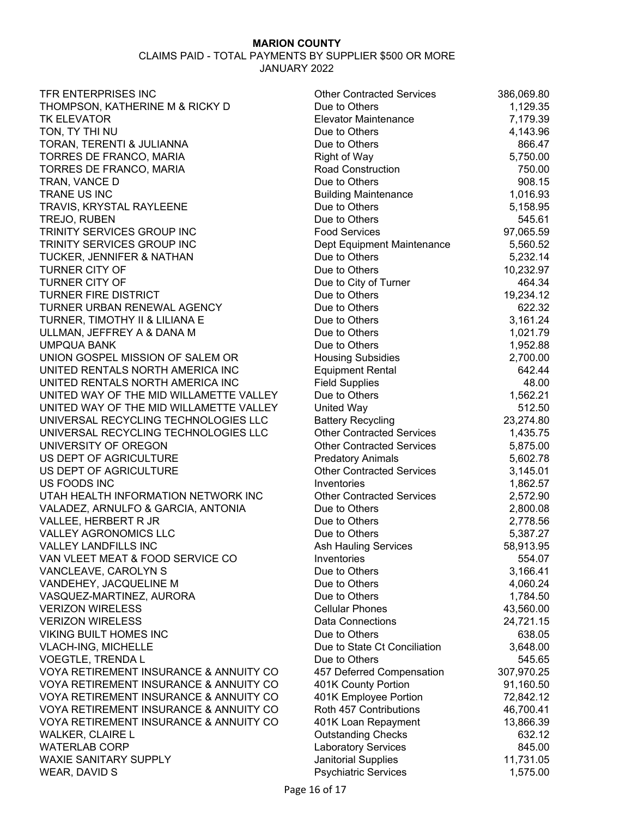| TFR ENTERPRISES INC                     | <b>Other Contracted Services</b>                        | 386,069.80            |
|-----------------------------------------|---------------------------------------------------------|-----------------------|
| THOMPSON, KATHERINE M & RICKY D         | Due to Others                                           | 1,129.35              |
| <b>TK ELEVATOR</b>                      | <b>Elevator Maintenance</b>                             | 7,179.39              |
| TON, TY THI NU                          | Due to Others                                           | 4,143.96              |
| TORAN, TERENTI & JULIANNA               | Due to Others                                           | 866.47                |
| TORRES DE FRANCO, MARIA                 | Right of Way                                            | 5,750.00              |
| TORRES DE FRANCO, MARIA                 | <b>Road Construction</b>                                | 750.00                |
| TRAN, VANCE D                           | Due to Others                                           | 908.15                |
| TRANE US INC                            | <b>Building Maintenance</b>                             | 1,016.93              |
| TRAVIS, KRYSTAL RAYLEENE                | Due to Others                                           | 5,158.95              |
| TREJO, RUBEN                            | Due to Others                                           | 545.61                |
| TRINITY SERVICES GROUP INC              | <b>Food Services</b>                                    | 97,065.59             |
| TRINITY SERVICES GROUP INC              | Dept Equipment Maintenance                              | 5,560.52              |
| TUCKER, JENNIFER & NATHAN               | Due to Others                                           | 5,232.14              |
| <b>TURNER CITY OF</b>                   | Due to Others                                           | 10,232.97             |
| <b>TURNER CITY OF</b>                   | Due to City of Turner                                   | 464.34                |
| <b>TURNER FIRE DISTRICT</b>             | Due to Others                                           | 19,234.12             |
| TURNER URBAN RENEWAL AGENCY             | Due to Others                                           | 622.32                |
| TURNER, TIMOTHY II & LILIANA E          | Due to Others                                           | 3,161.24              |
| ULLMAN, JEFFREY A & DANA M              | Due to Others                                           | 1,021.79              |
| <b>UMPQUA BANK</b>                      | Due to Others                                           | 1,952.88              |
| UNION GOSPEL MISSION OF SALEM OR        | <b>Housing Subsidies</b>                                | 2,700.00              |
| UNITED RENTALS NORTH AMERICA INC        | <b>Equipment Rental</b>                                 | 642.44                |
| UNITED RENTALS NORTH AMERICA INC        | <b>Field Supplies</b>                                   | 48.00                 |
| UNITED WAY OF THE MID WILLAMETTE VALLEY | Due to Others                                           | 1,562.21              |
| UNITED WAY OF THE MID WILLAMETTE VALLEY | <b>United Way</b>                                       | 512.50                |
| UNIVERSAL RECYCLING TECHNOLOGIES LLC    | <b>Battery Recycling</b>                                | 23,274.80             |
| UNIVERSAL RECYCLING TECHNOLOGIES LLC    | <b>Other Contracted Services</b>                        | 1,435.75              |
| UNIVERSITY OF OREGON                    | <b>Other Contracted Services</b>                        | 5,875.00              |
| US DEPT OF AGRICULTURE                  | <b>Predatory Animals</b>                                | 5,602.78              |
| US DEPT OF AGRICULTURE                  | <b>Other Contracted Services</b>                        | 3,145.01              |
| US FOODS INC                            | Inventories                                             | 1,862.57              |
| UTAH HEALTH INFORMATION NETWORK INC     | <b>Other Contracted Services</b>                        | 2,572.90              |
| VALADEZ, ARNULFO & GARCIA, ANTONIA      | Due to Others                                           | 2,800.08              |
| VALLEE, HERBERT R JR                    | Due to Others                                           | 2,778.56              |
| VALLEY AGRONOMICS LLC                   | Due to Others                                           | 5,387.27              |
| <b>VALLEY LANDFILLS INC</b>             | <b>Ash Hauling Services</b>                             | 58,913.95             |
| VAN VLEET MEAT & FOOD SERVICE CO        | Inventories                                             | 554.07                |
| VANCLEAVE, CAROLYN S                    | Due to Others                                           | 3,166.41              |
| VANDEHEY, JACQUELINE M                  | Due to Others                                           | 4,060.24              |
| VASQUEZ-MARTINEZ, AURORA                | Due to Others                                           | 1,784.50              |
| <b>VERIZON WIRELESS</b>                 | <b>Cellular Phones</b>                                  | 43,560.00             |
| <b>VERIZON WIRELESS</b>                 | Data Connections                                        | 24,721.15             |
| <b>VIKING BUILT HOMES INC</b>           | Due to Others                                           | 638.05                |
| <b>VLACH-ING, MICHELLE</b>              | Due to State Ct Conciliation                            | 3,648.00              |
| <b>VOEGTLE, TRENDA L</b>                | Due to Others                                           | 545.65                |
| VOYA RETIREMENT INSURANCE & ANNUITY CO  | 457 Deferred Compensation                               | 307,970.25            |
| VOYA RETIREMENT INSURANCE & ANNUITY CO  | 401K County Portion                                     | 91,160.50             |
| VOYA RETIREMENT INSURANCE & ANNUITY CO  | 401K Employee Portion                                   | 72,842.12             |
| VOYA RETIREMENT INSURANCE & ANNUITY CO  | Roth 457 Contributions                                  | 46,700.41             |
| VOYA RETIREMENT INSURANCE & ANNUITY CO  | 401K Loan Repayment                                     | 13,866.39             |
| <b>WALKER, CLAIRE L</b>                 |                                                         | 632.12                |
| <b>WATERLAB CORP</b>                    | <b>Outstanding Checks</b><br><b>Laboratory Services</b> | 845.00                |
| <b>WAXIE SANITARY SUPPLY</b>            | Janitorial Supplies                                     |                       |
| WEAR, DAVID S                           | <b>Psychiatric Services</b>                             | 11,731.05<br>1,575.00 |
|                                         |                                                         |                       |